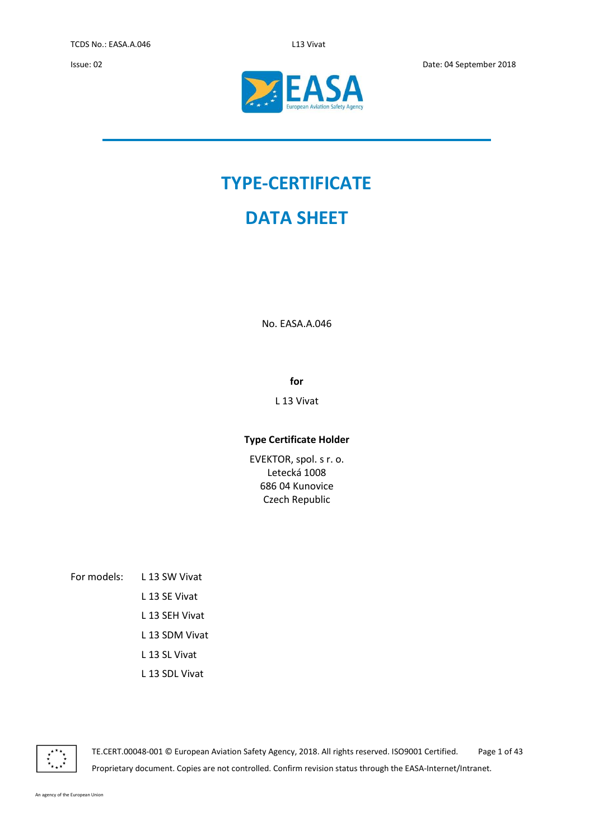l,



# TYPE-CERTIFICATE DATA SHEET

No. EASA.A.046

for

L 13 Vivat

#### Type Certificate Holder

EVEKTOR, spol. s r. o. Letecká 1008 686 04 Kunovice Czech Republic

For models: L 13 SW Vivat

 L 13 SE Vivat L 13 SEH Vivat L 13 SDM Vivat L 13 SL Vivat L 13 SDL Vivat



TE.CERT.00048-001 © European Aviation Safety Agency, 2018. All rights reserved. ISO9001 Certified. Page 1 of 43 Proprietary document. Copies are not controlled. Confirm revision status through the EASA-Internet/Intranet.

An agency of the European Union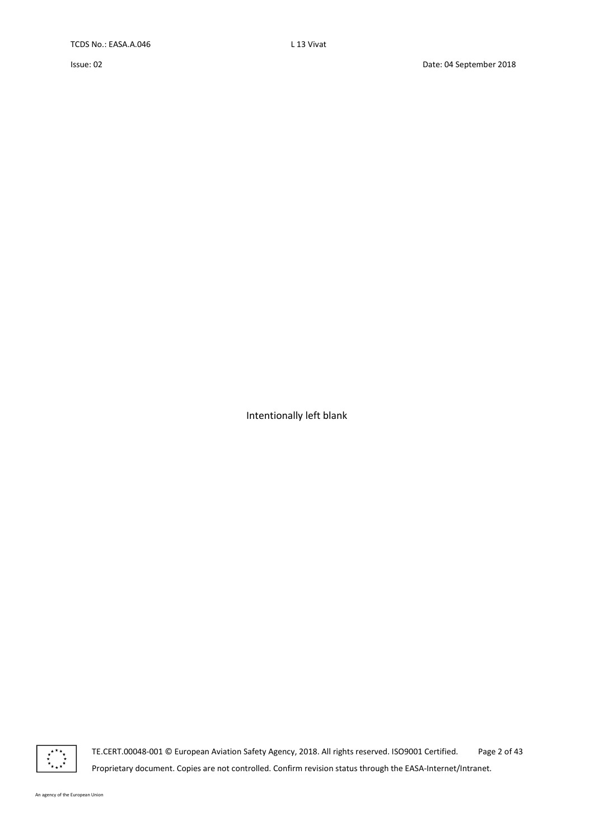Intentionally left blank



TE.CERT.00048-001 © European Aviation Safety Agency, 2018. All rights reserved. ISO9001 Certified. Page 2 of 43 Proprietary document. Copies are not controlled. Confirm revision status through the EASA-Internet/Intranet.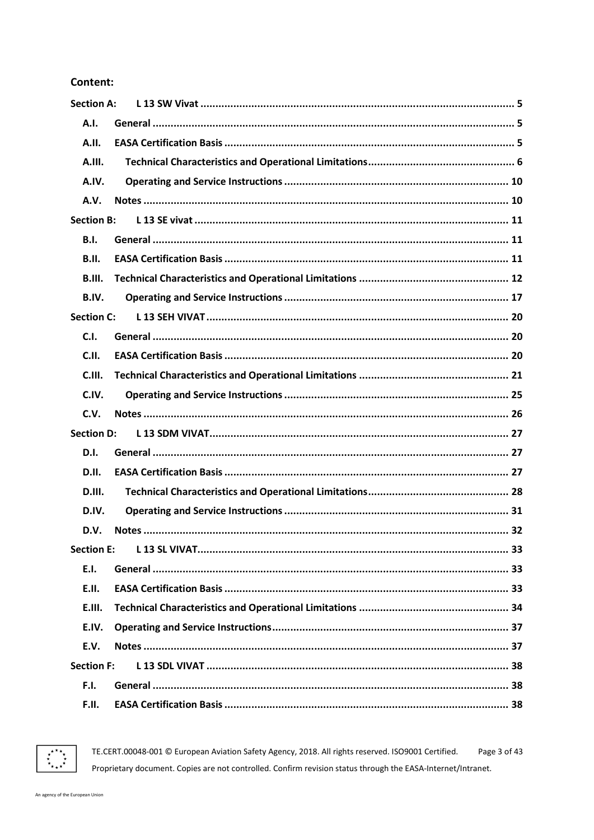| <b>Section A:</b> |  |
|-------------------|--|
| A.I.              |  |
| A.II.             |  |
| A.III.            |  |
| A.IV.             |  |
| A.V.              |  |
| <b>Section B:</b> |  |
| B.I.              |  |
| B.II.             |  |
| B.III.            |  |
| B.IV.             |  |
| <b>Section C:</b> |  |
| C.I.              |  |
| C.II.             |  |
| C.III.            |  |
| C.IV.             |  |
| C.V.              |  |
| <b>Section D:</b> |  |
| <b>D.I.</b>       |  |
| D.II.             |  |
| D.III.            |  |
| D.IV.             |  |
| D.V.              |  |
| <b>Section E:</b> |  |
| E.I.              |  |
| E.II.             |  |
| E.III.            |  |
|                   |  |
| E.IV.             |  |
| E.V.              |  |
| <b>Section F:</b> |  |
| F.I.              |  |



TE.CERT.00048-001 © European Aviation Safety Agency, 2018. All rights reserved. ISO9001 Certified. Page 3 of 43 Proprietary document. Copies are not controlled. Confirm revision status through the EASA-Internet/Intranet.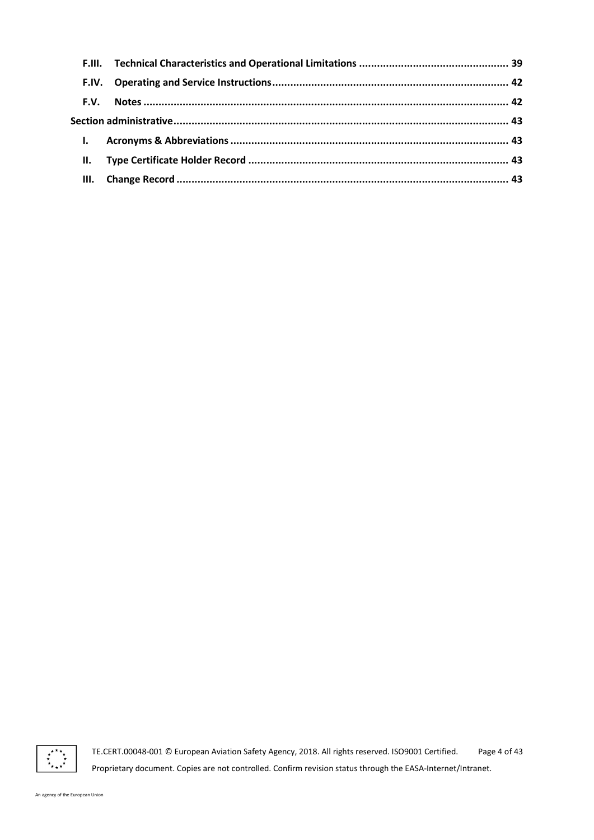| F.V.           |  |
|----------------|--|
|                |  |
| $\blacksquare$ |  |
| <b>II.</b>     |  |
|                |  |



TE.CERT.00048-001 © European Aviation Safety Agency, 2018. All rights reserved. ISO9001 Certified. Page 4 of 43 Proprietary document. Copies are not controlled. Confirm revision status through the EASA-Internet/Intranet.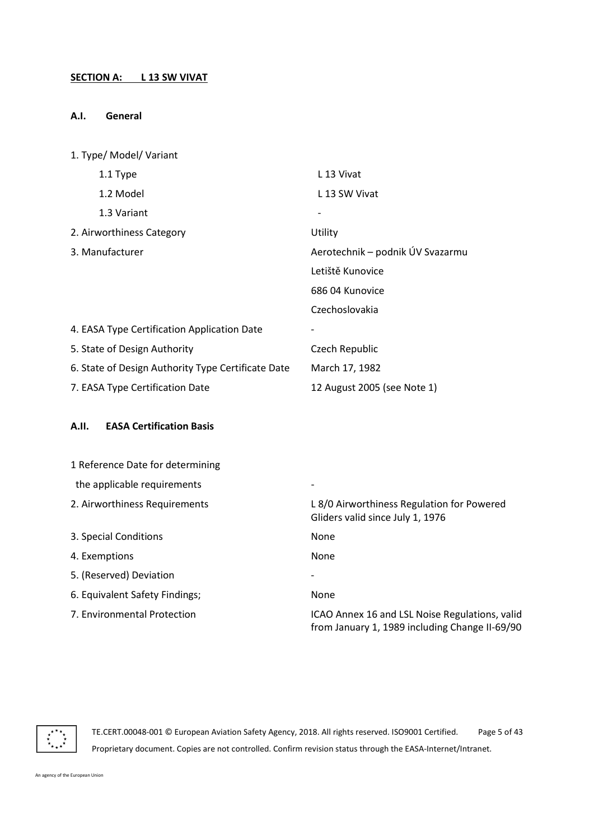## SECTION A: L 13 SW VIVAT

#### A.I. General

| 1. Type/ Model/ Variant                            |                                                                                                  |
|----------------------------------------------------|--------------------------------------------------------------------------------------------------|
| 1.1 Type                                           | L 13 Vivat                                                                                       |
| 1.2 Model                                          | L 13 SW Vivat                                                                                    |
| 1.3 Variant                                        |                                                                                                  |
| 2. Airworthiness Category                          | Utility                                                                                          |
| 3. Manufacturer                                    | Aerotechnik – podnik ÚV Svazarmu                                                                 |
|                                                    | Letiště Kunovice                                                                                 |
|                                                    | 686 04 Kunovice                                                                                  |
|                                                    | Czechoslovakia                                                                                   |
| 4. EASA Type Certification Application Date        |                                                                                                  |
| 5. State of Design Authority                       | Czech Republic                                                                                   |
| 6. State of Design Authority Type Certificate Date | March 17, 1982                                                                                   |
| 7. EASA Type Certification Date                    | 12 August 2005 (see Note 1)                                                                      |
| <b>EASA Certification Basis</b><br>A.II.           |                                                                                                  |
| 1 Reference Date for determining                   |                                                                                                  |
| the applicable requirements                        |                                                                                                  |
| 2. Airworthiness Requirements                      | L 8/0 Airworthiness Regulation for Powered<br>Gliders valid since July 1, 1976                   |
| 3. Special Conditions                              | None                                                                                             |
| 4. Exemptions                                      | None                                                                                             |
| 5. (Reserved) Deviation                            |                                                                                                  |
| 6. Equivalent Safety Findings;                     | None                                                                                             |
| 7. Environmental Protection                        | ICAO Annex 16 and LSL Noise Regulations, valid<br>from January 1, 1989 including Change II-69/90 |



TE.CERT.00048-001 © European Aviation Safety Agency, 2018. All rights reserved. ISO9001 Certified. Page 5 of 43 Proprietary document. Copies are not controlled. Confirm revision status through the EASA-Internet/Intranet.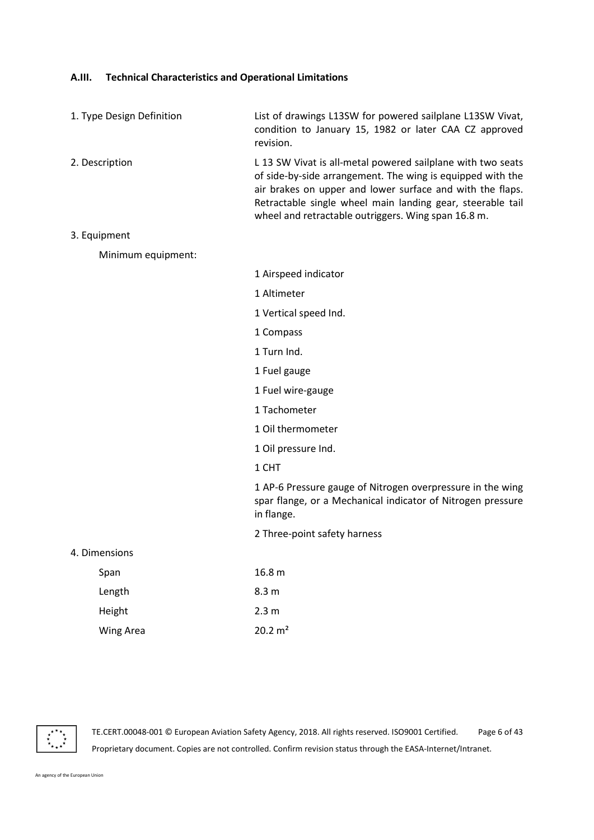# A.III. Technical Characteristics and Operational Limitations

| 1. Type Design Definition | List of drawings L13SW for powered sailplane L13SW Vivat,<br>condition to January 15, 1982 or later CAA CZ approved<br>revision.                                                                                                                                                                            |
|---------------------------|-------------------------------------------------------------------------------------------------------------------------------------------------------------------------------------------------------------------------------------------------------------------------------------------------------------|
| 2. Description            | L 13 SW Vivat is all-metal powered sailplane with two seats<br>of side-by-side arrangement. The wing is equipped with the<br>air brakes on upper and lower surface and with the flaps.<br>Retractable single wheel main landing gear, steerable tail<br>wheel and retractable outriggers. Wing span 16.8 m. |
| 3. Equipment              |                                                                                                                                                                                                                                                                                                             |
| Minimum equipment:        |                                                                                                                                                                                                                                                                                                             |
|                           | 1 Airspeed indicator                                                                                                                                                                                                                                                                                        |
|                           | 1 Altimeter                                                                                                                                                                                                                                                                                                 |
|                           | 1 Vertical speed Ind.                                                                                                                                                                                                                                                                                       |
|                           | 1 Compass                                                                                                                                                                                                                                                                                                   |
|                           | 1 Turn Ind.                                                                                                                                                                                                                                                                                                 |
|                           | 1 Fuel gauge                                                                                                                                                                                                                                                                                                |
|                           | 1 Fuel wire-gauge                                                                                                                                                                                                                                                                                           |
|                           | 1 Tachometer                                                                                                                                                                                                                                                                                                |
|                           | 1 Oil thermometer                                                                                                                                                                                                                                                                                           |
|                           | 1 Oil pressure Ind.                                                                                                                                                                                                                                                                                         |
|                           | 1 CHT                                                                                                                                                                                                                                                                                                       |
|                           | 1 AP-6 Pressure gauge of Nitrogen overpressure in the wing<br>spar flange, or a Mechanical indicator of Nitrogen pressure<br>in flange.                                                                                                                                                                     |
|                           | 2 Three-point safety harness                                                                                                                                                                                                                                                                                |
| 4. Dimensions             |                                                                                                                                                                                                                                                                                                             |
| Span                      | 16.8 m                                                                                                                                                                                                                                                                                                      |
| Length                    | 8.3 <sub>m</sub>                                                                                                                                                                                                                                                                                            |
| Height                    | 2.3 <sub>m</sub>                                                                                                                                                                                                                                                                                            |
| Wing Area                 | 20.2 m <sup>2</sup>                                                                                                                                                                                                                                                                                         |



TE.CERT.00048-001 © European Aviation Safety Agency, 2018. All rights reserved. ISO9001 Certified. Page 6 of 43 Proprietary document. Copies are not controlled. Confirm revision status through the EASA-Internet/Intranet.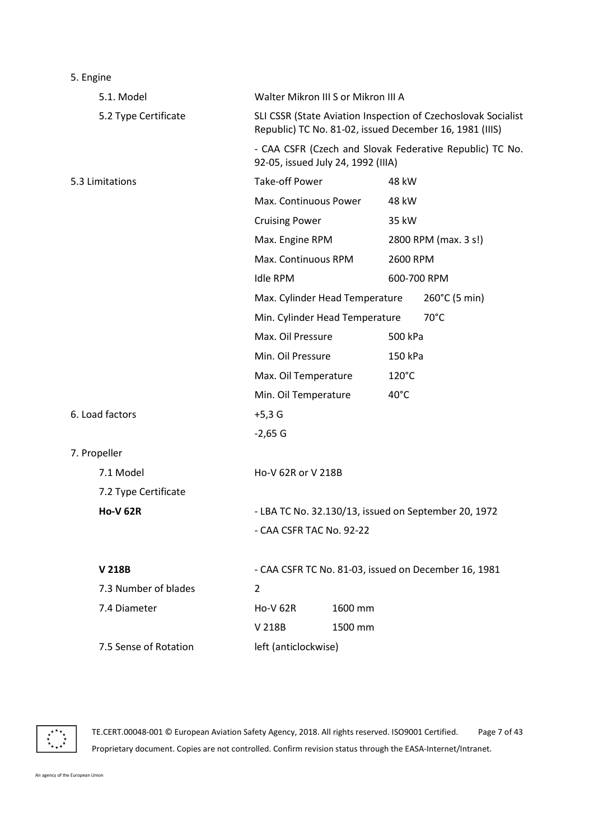| 5. Engine             |                                                                                                |                                                                                                                          |                      |
|-----------------------|------------------------------------------------------------------------------------------------|--------------------------------------------------------------------------------------------------------------------------|----------------------|
| 5.1. Model            |                                                                                                | Walter Mikron III S or Mikron III A                                                                                      |                      |
| 5.2 Type Certificate  |                                                                                                | SLI CSSR (State Aviation Inspection of Czechoslovak Socialist<br>Republic) TC No. 81-02, issued December 16, 1981 (IIIS) |                      |
|                       | - CAA CSFR (Czech and Slovak Federative Republic) TC No.<br>92-05, issued July 24, 1992 (IIIA) |                                                                                                                          |                      |
| 5.3 Limitations       | <b>Take-off Power</b>                                                                          | 48 kW                                                                                                                    |                      |
|                       | Max. Continuous Power                                                                          | 48 kW                                                                                                                    |                      |
|                       | <b>Cruising Power</b>                                                                          | 35 kW                                                                                                                    |                      |
|                       | Max. Engine RPM                                                                                |                                                                                                                          | 2800 RPM (max. 3 s!) |
|                       | Max. Continuous RPM                                                                            | 2600 RPM                                                                                                                 |                      |
|                       | <b>Idle RPM</b>                                                                                |                                                                                                                          | 600-700 RPM          |
|                       | Max. Cylinder Head Temperature                                                                 |                                                                                                                          | 260°C (5 min)        |
|                       | Min. Cylinder Head Temperature                                                                 |                                                                                                                          | 70°C                 |
|                       | Max. Oil Pressure                                                                              | 500 kPa                                                                                                                  |                      |
|                       | Min. Oil Pressure                                                                              | 150 kPa                                                                                                                  |                      |
|                       | Max. Oil Temperature                                                                           | $120^{\circ}$ C                                                                                                          |                      |
|                       | Min. Oil Temperature                                                                           | 40°C                                                                                                                     |                      |
| 6. Load factors       | $+5,3$ G                                                                                       |                                                                                                                          |                      |
|                       | $-2,65$ G                                                                                      |                                                                                                                          |                      |
| 7. Propeller          |                                                                                                |                                                                                                                          |                      |
| 7.1 Model             | Ho-V 62R or V 218B                                                                             |                                                                                                                          |                      |
| 7.2 Type Certificate  |                                                                                                |                                                                                                                          |                      |
| <b>Ho-V 62R</b>       | - LBA TC No. 32.130/13, issued on September 20, 1972                                           |                                                                                                                          |                      |
|                       | - CAA CSFR TAC No. 92-22                                                                       |                                                                                                                          |                      |
| <b>V218B</b>          | - CAA CSFR TC No. 81-03, issued on December 16, 1981                                           |                                                                                                                          |                      |
| 7.3 Number of blades  | $\overline{2}$                                                                                 |                                                                                                                          |                      |
| 7.4 Diameter          | <b>Ho-V 62R</b><br>1600 mm                                                                     |                                                                                                                          |                      |
|                       | V 218B<br>1500 mm                                                                              |                                                                                                                          |                      |
| 7.5 Sense of Rotation | left (anticlockwise)                                                                           |                                                                                                                          |                      |



TE.CERT.00048-001 © European Aviation Safety Agency, 2018. All rights reserved. ISO9001 Certified. Page 7 of 43 Proprietary document. Copies are not controlled. Confirm revision status through the EASA-Internet/Intranet.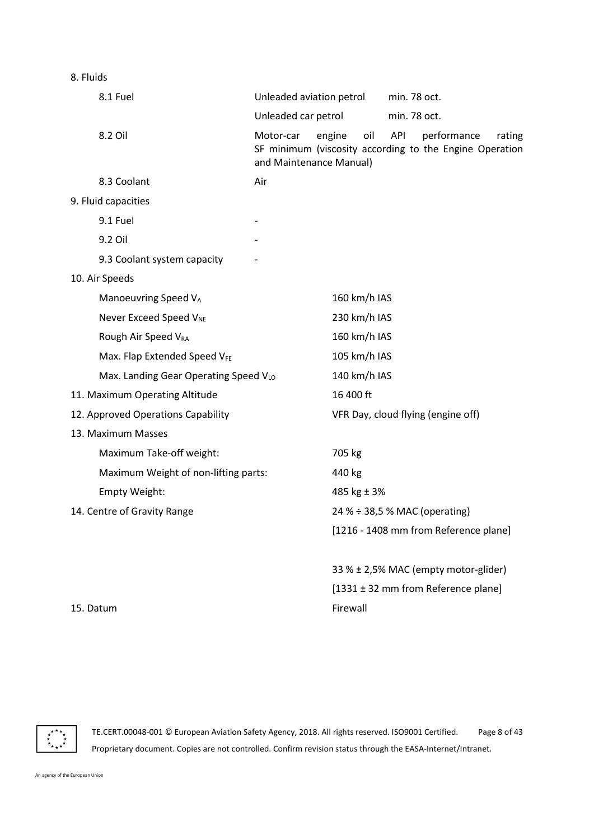| 8. Fluids                          |                                       |                                      |               |                                                                                         |
|------------------------------------|---------------------------------------|--------------------------------------|---------------|-----------------------------------------------------------------------------------------|
|                                    | 8.1 Fuel                              | Unleaded aviation petrol             |               | min. 78 oct.                                                                            |
|                                    |                                       | Unleaded car petrol                  |               | min. 78 oct.                                                                            |
|                                    | 8.2 Oil                               | Motor-car<br>and Maintenance Manual) | engine<br>oil | API<br>performance<br>rating<br>SF minimum (viscosity according to the Engine Operation |
|                                    | 8.3 Coolant                           | Air                                  |               |                                                                                         |
|                                    | 9. Fluid capacities                   |                                      |               |                                                                                         |
|                                    | 9.1 Fuel                              |                                      |               |                                                                                         |
|                                    | 9.2 Oil                               |                                      |               |                                                                                         |
|                                    | 9.3 Coolant system capacity           |                                      |               |                                                                                         |
|                                    | 10. Air Speeds                        |                                      |               |                                                                                         |
|                                    | Manoeuvring Speed VA                  |                                      | 160 km/h IAS  |                                                                                         |
|                                    | Never Exceed Speed V <sub>NE</sub>    |                                      | 230 km/h IAS  |                                                                                         |
|                                    | Rough Air Speed V <sub>RA</sub>       |                                      | 160 km/h IAS  |                                                                                         |
|                                    | Max. Flap Extended Speed VFE          |                                      | 105 km/h IAS  |                                                                                         |
|                                    | Max. Landing Gear Operating Speed VLO |                                      | 140 km/h IAS  |                                                                                         |
|                                    | 11. Maximum Operating Altitude        |                                      | 16 400 ft     |                                                                                         |
| 12. Approved Operations Capability |                                       |                                      |               | VFR Day, cloud flying (engine off)                                                      |
|                                    | 13. Maximum Masses                    |                                      |               |                                                                                         |
|                                    | Maximum Take-off weight:              |                                      | 705 kg        |                                                                                         |
|                                    | Maximum Weight of non-lifting parts:  |                                      | 440 kg        |                                                                                         |
|                                    | Empty Weight:                         |                                      | 485 kg ± 3%   |                                                                                         |
|                                    | 14. Centre of Gravity Range           |                                      |               | 24 % ÷ 38,5 % MAC (operating)                                                           |
|                                    |                                       |                                      |               | [1216 - 1408 mm from Reference plane]                                                   |
|                                    |                                       |                                      |               | 33 % ± 2,5% MAC (empty motor-glider)                                                    |
|                                    |                                       |                                      |               | [1331 ± 32 mm from Reference plane]                                                     |

15. Datum **Firewall** 

TE.CERT.00048-001 © European Aviation Safety Agency, 2018. All rights reserved. ISO9001 Certified. Page 8 of 43 Proprietary document. Copies are not controlled. Confirm revision status through the EASA-Internet/Intranet.

 $\frac{\overline{1}^{\star}}{\overline{1}^{\star}_{\star}}$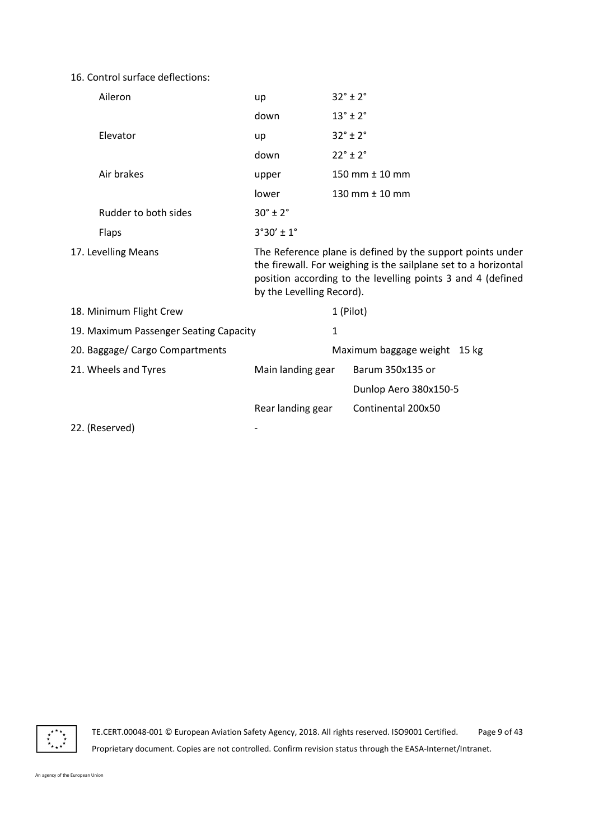## 16. Control surface deflections:

| Aileron                         | up                     |                                        | $32^{\circ} \pm 2^{\circ}$                                                                                                                                                                   |
|---------------------------------|------------------------|----------------------------------------|----------------------------------------------------------------------------------------------------------------------------------------------------------------------------------------------|
|                                 | down                   |                                        | $13^\circ \pm 2^\circ$                                                                                                                                                                       |
| Elevator                        | up                     |                                        | $32^\circ \pm 2^\circ$                                                                                                                                                                       |
|                                 | down                   |                                        | $22^\circ \pm 2^\circ$                                                                                                                                                                       |
| Air brakes                      | upper                  |                                        | 150 mm $±$ 10 mm                                                                                                                                                                             |
|                                 | lower                  |                                        | 130 mm $\pm$ 10 mm                                                                                                                                                                           |
| Rudder to both sides            | $30^\circ \pm 2^\circ$ |                                        |                                                                                                                                                                                              |
| Flaps                           | $3°30' \pm 1°$         |                                        |                                                                                                                                                                                              |
| 17. Levelling Means             |                        |                                        | The Reference plane is defined by the support points under<br>the firewall. For weighing is the sailplane set to a horizontal<br>position according to the levelling points 3 and 4 (defined |
| 18. Minimum Flight Crew         |                        |                                        | 1 (Pilot)                                                                                                                                                                                    |
|                                 |                        | $\mathbf{1}$                           |                                                                                                                                                                                              |
| 20. Baggage/ Cargo Compartments |                        |                                        | Maximum baggage weight 15 kg                                                                                                                                                                 |
| 21. Wheels and Tyres            |                        |                                        | Barum 350x135 or                                                                                                                                                                             |
|                                 |                        |                                        | Dunlop Aero 380x150-5                                                                                                                                                                        |
|                                 |                        |                                        | Continental 200x50                                                                                                                                                                           |
| 22. (Reserved)                  |                        |                                        |                                                                                                                                                                                              |
|                                 |                        | 19. Maximum Passenger Seating Capacity | by the Levelling Record).<br>Main landing gear<br>Rear landing gear                                                                                                                          |



TE.CERT.00048-001 © European Aviation Safety Agency, 2018. All rights reserved. ISO9001 Certified. Page 9 of 43 Proprietary document. Copies are not controlled. Confirm revision status through the EASA-Internet/Intranet.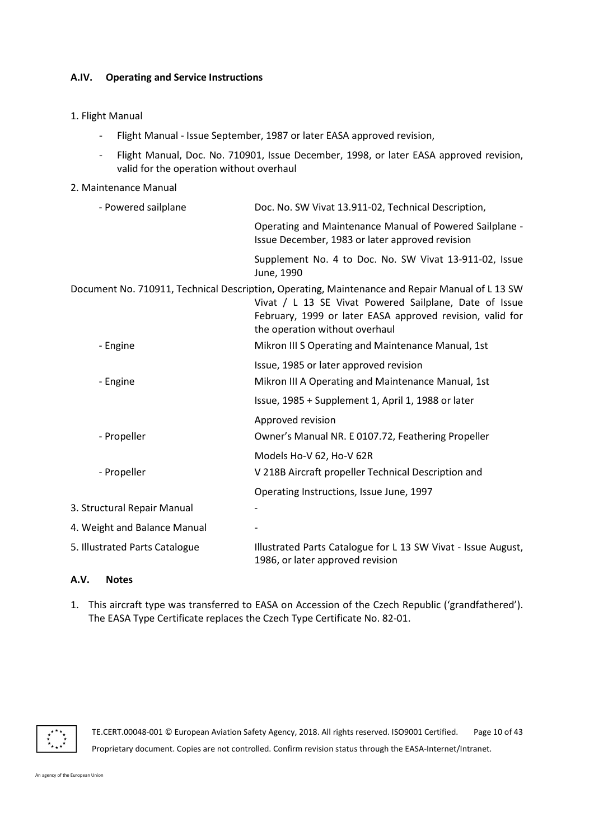#### A.IV. Operating and Service Instructions

## 1. Flight Manual

- Flight Manual Issue September, 1987 or later EASA approved revision,
- Flight Manual, Doc. No. 710901, Issue December, 1998, or later EASA approved revision, valid for the operation without overhaul

#### 2. Maintenance Manual

| - Powered sailplane            | Doc. No. SW Vivat 13.911-02, Technical Description,                                                                                                                                                                                                      |
|--------------------------------|----------------------------------------------------------------------------------------------------------------------------------------------------------------------------------------------------------------------------------------------------------|
|                                | Operating and Maintenance Manual of Powered Sailplane -<br>Issue December, 1983 or later approved revision                                                                                                                                               |
|                                | Supplement No. 4 to Doc. No. SW Vivat 13-911-02, Issue<br>June, 1990                                                                                                                                                                                     |
|                                | Document No. 710911, Technical Description, Operating, Maintenance and Repair Manual of L 13 SW<br>Vivat / L 13 SE Vivat Powered Sailplane, Date of Issue<br>February, 1999 or later EASA approved revision, valid for<br>the operation without overhaul |
| - Engine                       | Mikron III S Operating and Maintenance Manual, 1st                                                                                                                                                                                                       |
|                                | Issue, 1985 or later approved revision                                                                                                                                                                                                                   |
| - Engine                       | Mikron III A Operating and Maintenance Manual, 1st                                                                                                                                                                                                       |
|                                | Issue, 1985 + Supplement 1, April 1, 1988 or later                                                                                                                                                                                                       |
|                                | Approved revision                                                                                                                                                                                                                                        |
| - Propeller                    | Owner's Manual NR. E 0107.72, Feathering Propeller                                                                                                                                                                                                       |
|                                | Models Ho-V 62, Ho-V 62R                                                                                                                                                                                                                                 |
| - Propeller                    | V 218B Aircraft propeller Technical Description and                                                                                                                                                                                                      |
|                                | Operating Instructions, Issue June, 1997                                                                                                                                                                                                                 |
| 3. Structural Repair Manual    |                                                                                                                                                                                                                                                          |
| 4. Weight and Balance Manual   |                                                                                                                                                                                                                                                          |
| 5. Illustrated Parts Catalogue | Illustrated Parts Catalogue for L 13 SW Vivat - Issue August,<br>1986, or later approved revision                                                                                                                                                        |

#### A.V. Notes

1. This aircraft type was transferred to EASA on Accession of the Czech Republic ('grandfathered'). The EASA Type Certificate replaces the Czech Type Certificate No. 82-01.



TE.CERT.00048-001 © European Aviation Safety Agency, 2018. All rights reserved. ISO9001 Certified. Page 10 of 43 Proprietary document. Copies are not controlled. Confirm revision status through the EASA-Internet/Intranet.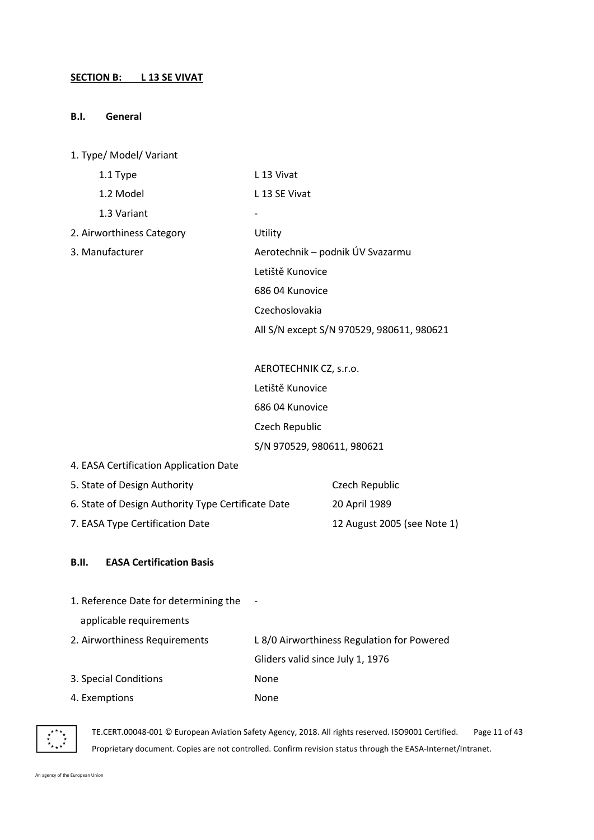#### SECTION B: L 13 SE VIVAT

## B.I. General

1. Type/ Model/ Variant

| 1.1 Type                  | L 13 Vivat                                |
|---------------------------|-------------------------------------------|
| 1.2 Model                 | L 13 SE Vivat                             |
| 1.3 Variant               |                                           |
| 2. Airworthiness Category | Utility                                   |
| 3. Manufacturer           | Aerotechnik – podnik ÚV Svazarmu          |
|                           | Letiště Kunovice                          |
|                           | 686 04 Kunovice                           |
|                           | Czechoslovakia                            |
|                           | All S/N except S/N 970529, 980611, 980621 |
|                           |                                           |
|                           | AEROTECHNIK CZ, s.r.o.                    |
|                           | Letiště Kunovice                          |
|                           | 686 04 Kunovice                           |
|                           | Czech Republic                            |
|                           | S/N 970529, 980611, 980621                |

4. EASA Certification Application Date 5. State of Design Authority **Czech Republic** Czech Republic 6. State of Design Authority Type Certificate Date 20 April 1989 7. EASA Type Certification Date 12 August 2005 (see Note 1)

## B.II. EASA Certification Basis

| 1. Reference Date for determining the | $\overline{\phantom{a}}$                   |
|---------------------------------------|--------------------------------------------|
| applicable requirements               |                                            |
| 2. Airworthiness Requirements         | L 8/0 Airworthiness Regulation for Powered |
|                                       | Gliders valid since July 1, 1976           |
| 3. Special Conditions                 | None                                       |
| 4. Exemptions                         | <b>None</b>                                |



TE.CERT.00048-001 © European Aviation Safety Agency, 2018. All rights reserved. ISO9001 Certified. Page 11 of 43 Proprietary document. Copies are not controlled. Confirm revision status through the EASA-Internet/Intranet.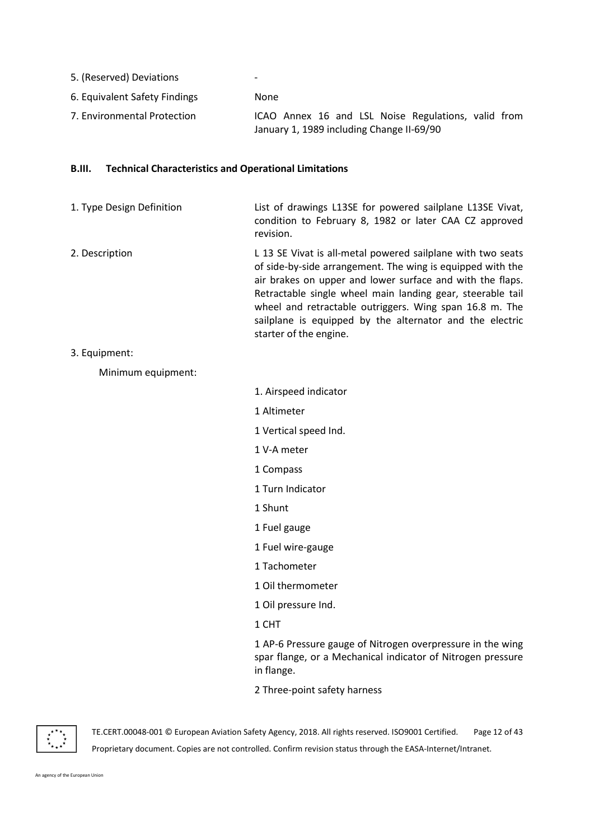| 5. (Reserved) Deviations      | -                                                   |
|-------------------------------|-----------------------------------------------------|
| 6. Equivalent Safety Findings | None                                                |
| 7. Environmental Protection   | ICAO Annex 16 and LSL Noise Regulations, valid from |
|                               | January 1, 1989 including Change II-69/90           |

#### B.III. Technical Characteristics and Operational Limitations

1. Type Design Definition List of drawings L13SE for powered sailplane L13SE Vivat, condition to February 8, 1982 or later CAA CZ approved revision. 2. Description **Let up a Let up to Allameter Series** L 13 SE Vivat is all-metal powered sailplane with two seats of side-by-side arrangement. The wing is equipped with the air brakes on upper and lower surface and with the flaps. Retractable single wheel main landing gear, steerable tail wheel and retractable outriggers. Wing span 16.8 m. The sailplane is equipped by the alternator and the electric starter of the engine.

#### 3. Equipment:

Minimum equipment:

- 1. Airspeed indicator
- 1 Altimeter
- 1 Vertical speed Ind.
- 1 V-A meter
- 1 Compass
- 1 Turn Indicator
- 1 Shunt
- 1 Fuel gauge
- 1 Fuel wire-gauge
- 1 Tachometer
- 1 Oil thermometer
- 1 Oil pressure Ind.
- 1 CHT

 1 AP-6 Pressure gauge of Nitrogen overpressure in the wing spar flange, or a Mechanical indicator of Nitrogen pressure in flange.

2 Three-point safety harness



TE.CERT.00048-001 © European Aviation Safety Agency, 2018. All rights reserved. ISO9001 Certified. Page 12 of 43 Proprietary document. Copies are not controlled. Confirm revision status through the EASA-Internet/Intranet.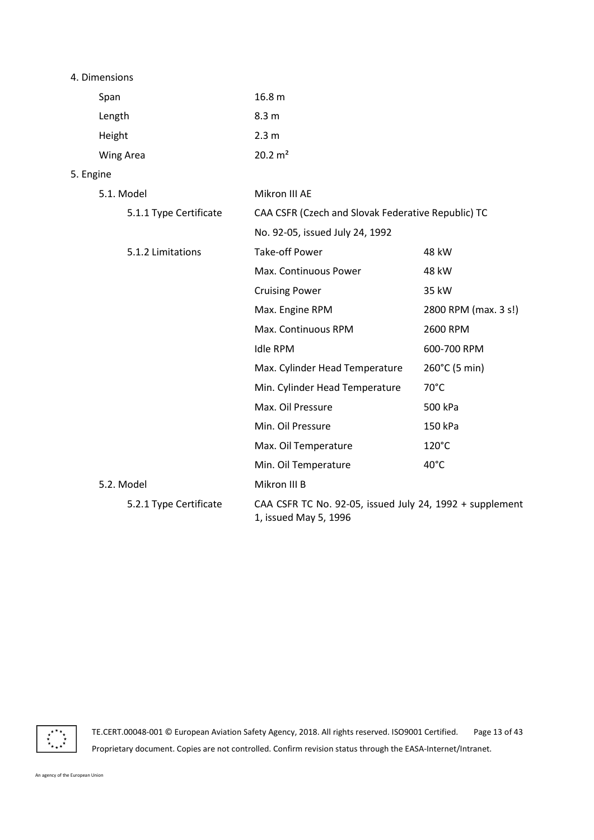4. Dimensions

| Span      | 16.8 <sub>m</sub>  |
|-----------|--------------------|
| Length    | 8.3 m              |
| Height    | 2.3 m              |
| Wing Area | $20.2 \text{ m}^2$ |

# 5. Engine

| 5.1. Model             | Mikron III AE<br>48 kW<br>48 kW<br>35 kW<br>2800 RPM (max. 3 s!)<br>2600 RPM<br>600-700 RPM<br>260°C (5 min)<br>70°C<br>500 kPa<br>150 kPa |                 |  |  |  |
|------------------------|--------------------------------------------------------------------------------------------------------------------------------------------|-----------------|--|--|--|
| 5.1.1 Type Certificate | CAA CSFR (Czech and Slovak Federative Republic) TC                                                                                         |                 |  |  |  |
|                        | No. 92-05, issued July 24, 1992                                                                                                            |                 |  |  |  |
| 5.1.2 Limitations      | Take-off Power                                                                                                                             |                 |  |  |  |
|                        | Max. Continuous Power                                                                                                                      |                 |  |  |  |
|                        | <b>Cruising Power</b>                                                                                                                      |                 |  |  |  |
|                        | Max. Engine RPM                                                                                                                            |                 |  |  |  |
|                        | Max. Continuous RPM                                                                                                                        |                 |  |  |  |
|                        | Idle RPM                                                                                                                                   |                 |  |  |  |
|                        | Max. Cylinder Head Temperature                                                                                                             |                 |  |  |  |
|                        | Min. Cylinder Head Temperature                                                                                                             |                 |  |  |  |
|                        | Max. Oil Pressure                                                                                                                          |                 |  |  |  |
|                        | Min. Oil Pressure                                                                                                                          |                 |  |  |  |
|                        | Max. Oil Temperature                                                                                                                       | $120^{\circ}$ C |  |  |  |
|                        | Min. Oil Temperature                                                                                                                       | $40^{\circ}$ C  |  |  |  |
| 5.2. Model             | Mikron III B                                                                                                                               |                 |  |  |  |
| 5.2.1 Type Certificate | CAA CSFR TC No. 92-05, issued July 24, 1992 + supplement<br>1, issued May 5, 1996                                                          |                 |  |  |  |



TE.CERT.00048-001 © European Aviation Safety Agency, 2018. All rights reserved. ISO9001 Certified. Page 13 of 43 Proprietary document. Copies are not controlled. Confirm revision status through the EASA-Internet/Intranet.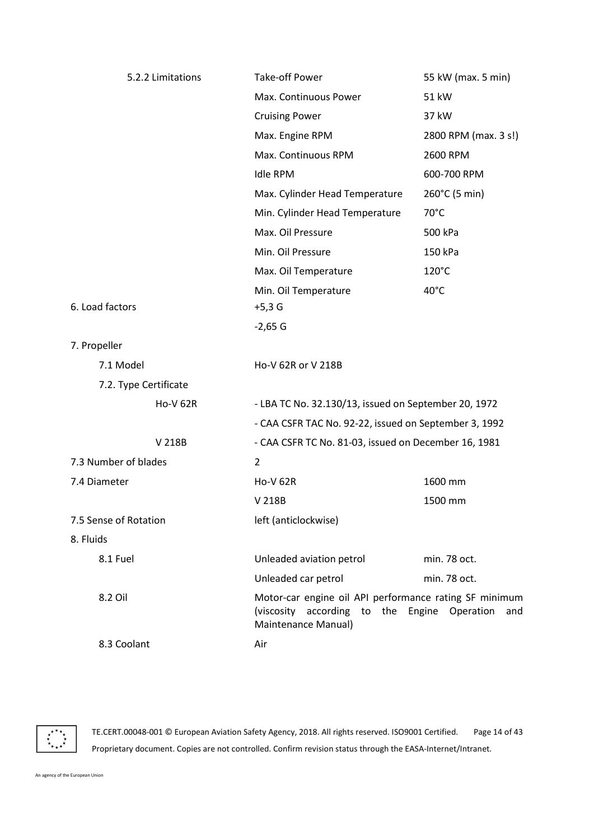| 5.2.2 Limitations     | <b>Take-off Power</b>                                                                                                                | 55 kW (max. 5 min)   |  |  |  |
|-----------------------|--------------------------------------------------------------------------------------------------------------------------------------|----------------------|--|--|--|
|                       | Max. Continuous Power                                                                                                                | 51 kW                |  |  |  |
|                       | <b>Cruising Power</b>                                                                                                                | 37 kW                |  |  |  |
|                       | Max. Engine RPM                                                                                                                      | 2800 RPM (max. 3 s!) |  |  |  |
|                       | Max. Continuous RPM                                                                                                                  | 2600 RPM             |  |  |  |
|                       | <b>Idle RPM</b>                                                                                                                      | 600-700 RPM          |  |  |  |
|                       | Max. Cylinder Head Temperature                                                                                                       | 260°C (5 min)        |  |  |  |
|                       | Min. Cylinder Head Temperature                                                                                                       | 70°C                 |  |  |  |
|                       | Max. Oil Pressure<br>500 kPa                                                                                                         |                      |  |  |  |
|                       | Min. Oil Pressure                                                                                                                    | 150 kPa              |  |  |  |
|                       | Max. Oil Temperature                                                                                                                 | 120°C                |  |  |  |
| 6. Load factors       | Min. Oil Temperature<br>$+5,3$ G                                                                                                     | 40°C                 |  |  |  |
|                       | $-2,65$ G                                                                                                                            |                      |  |  |  |
| 7. Propeller          |                                                                                                                                      |                      |  |  |  |
| 7.1 Model             | Ho-V 62R or V 218B                                                                                                                   |                      |  |  |  |
| 7.2. Type Certificate |                                                                                                                                      |                      |  |  |  |
| <b>Ho-V 62R</b>       | - LBA TC No. 32.130/13, issued on September 20, 1972                                                                                 |                      |  |  |  |
|                       | - CAA CSFR TAC No. 92-22, issued on September 3, 1992                                                                                |                      |  |  |  |
| V 218B                | - CAA CSFR TC No. 81-03, issued on December 16, 1981                                                                                 |                      |  |  |  |
| 7.3 Number of blades  | $\overline{2}$                                                                                                                       |                      |  |  |  |
| 7.4 Diameter          | <b>Ho-V 62R</b>                                                                                                                      | 1600 mm              |  |  |  |
|                       | V 218B                                                                                                                               | 1500 mm              |  |  |  |
| 7.5 Sense of Rotation | left (anticlockwise)                                                                                                                 |                      |  |  |  |
| 8. Fluids             |                                                                                                                                      |                      |  |  |  |
| 8.1 Fuel              | Unleaded aviation petrol<br>min. 78 oct.                                                                                             |                      |  |  |  |
|                       | Unleaded car petrol<br>min. 78 oct.                                                                                                  |                      |  |  |  |
| 8.2 Oil               | Motor-car engine oil API performance rating SF minimum<br>(viscosity according to the Engine Operation<br>and<br>Maintenance Manual) |                      |  |  |  |
| 8.3 Coolant           | Air                                                                                                                                  |                      |  |  |  |



TE.CERT.00048-001 © European Aviation Safety Agency, 2018. All rights reserved. ISO9001 Certified. Page 14 of 43 Proprietary document. Copies are not controlled. Confirm revision status through the EASA-Internet/Intranet.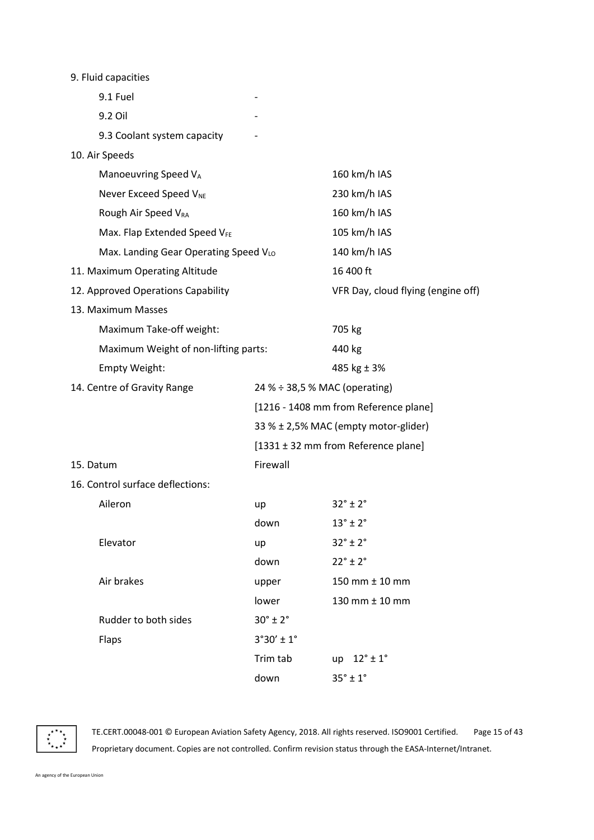| 9. Fluid capacities                   |                        |                                       |
|---------------------------------------|------------------------|---------------------------------------|
| 9.1 Fuel                              |                        |                                       |
| 9.2 Oil                               |                        |                                       |
| 9.3 Coolant system capacity           |                        |                                       |
| 10. Air Speeds                        |                        |                                       |
| Manoeuvring Speed VA                  |                        | 160 km/h IAS                          |
| Never Exceed Speed VNE                |                        | 230 km/h IAS                          |
| Rough Air Speed VRA                   |                        | 160 km/h IAS                          |
| Max. Flap Extended Speed VFE          |                        | 105 km/h IAS                          |
| Max. Landing Gear Operating Speed VLO |                        | 140 km/h IAS                          |
| 11. Maximum Operating Altitude        |                        | 16 400 ft                             |
| 12. Approved Operations Capability    |                        | VFR Day, cloud flying (engine off)    |
| 13. Maximum Masses                    |                        |                                       |
| Maximum Take-off weight:              |                        | 705 kg                                |
| Maximum Weight of non-lifting parts:  |                        | 440 kg                                |
| Empty Weight:                         |                        | 485 kg ± 3%                           |
| 14. Centre of Gravity Range           |                        | 24 % ÷ 38,5 % MAC (operating)         |
|                                       |                        | [1216 - 1408 mm from Reference plane] |
|                                       |                        | 33 % ± 2,5% MAC (empty motor-glider)  |
|                                       |                        | [1331 ± 32 mm from Reference plane]   |
| 15. Datum                             | Firewall               |                                       |
| 16. Control surface deflections:      |                        |                                       |
| Aileron                               | up                     | $32^{\circ} \pm 2^{\circ}$            |
|                                       | down                   | $13^\circ \pm 2^\circ$                |
| Elevator                              | up                     | $32^\circ \pm 2^\circ$                |
|                                       | down                   | $22^\circ \pm 2^\circ$                |
| Air brakes                            | upper                  | 150 mm ± 10 mm                        |
|                                       | lower                  | 130 mm ± 10 mm                        |
| Rudder to both sides                  | $30^\circ \pm 2^\circ$ |                                       |
| Flaps                                 | $3°30' \pm 1°$         |                                       |
|                                       | Trim tab               | up $12^\circ \pm 1^\circ$             |
|                                       | down                   | $35^\circ \pm 1^\circ$                |



TE.CERT.00048-001 © European Aviation Safety Agency, 2018. All rights reserved. ISO9001 Certified. Page 15 of 43 Proprietary document. Copies are not controlled. Confirm revision status through the EASA-Internet/Intranet.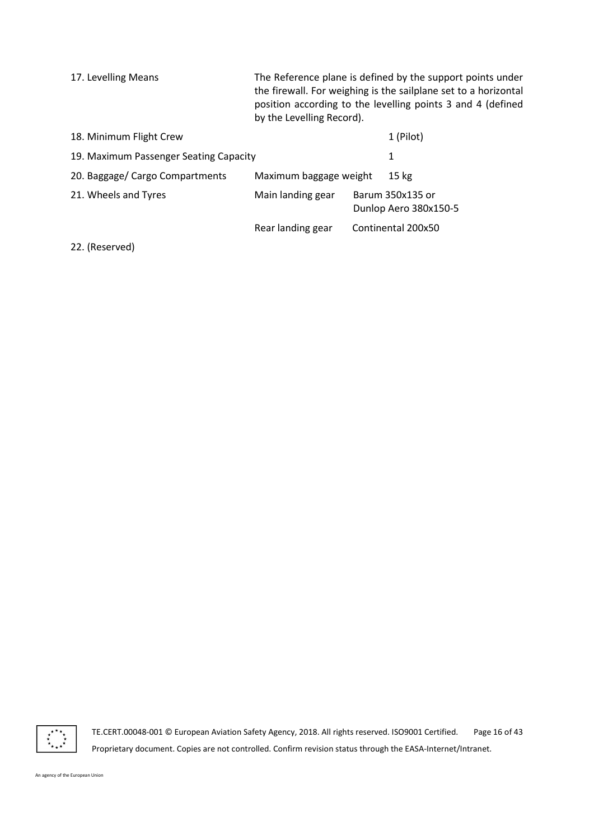| 17. Levelling Means                    | The Reference plane is defined by the support points under<br>the firewall. For weighing is the sailplane set to a horizontal<br>position according to the levelling points 3 and 4 (defined<br>by the Levelling Record). |  |                                           |  |
|----------------------------------------|---------------------------------------------------------------------------------------------------------------------------------------------------------------------------------------------------------------------------|--|-------------------------------------------|--|
| 18. Minimum Flight Crew                |                                                                                                                                                                                                                           |  | 1 (Pilot)                                 |  |
| 19. Maximum Passenger Seating Capacity |                                                                                                                                                                                                                           |  | 1                                         |  |
| 20. Baggage/ Cargo Compartments        | Maximum baggage weight                                                                                                                                                                                                    |  | $15 \text{ kg}$                           |  |
| 21. Wheels and Tyres                   | Main landing gear                                                                                                                                                                                                         |  | Barum 350x135 or<br>Dunlop Aero 380x150-5 |  |
|                                        | Rear landing gear                                                                                                                                                                                                         |  | Continental 200x50                        |  |
| 22. (Reserved)                         |                                                                                                                                                                                                                           |  |                                           |  |



TE.CERT.00048-001 © European Aviation Safety Agency, 2018. All rights reserved. ISO9001 Certified. Page 16 of 43 Proprietary document. Copies are not controlled. Confirm revision status through the EASA-Internet/Intranet.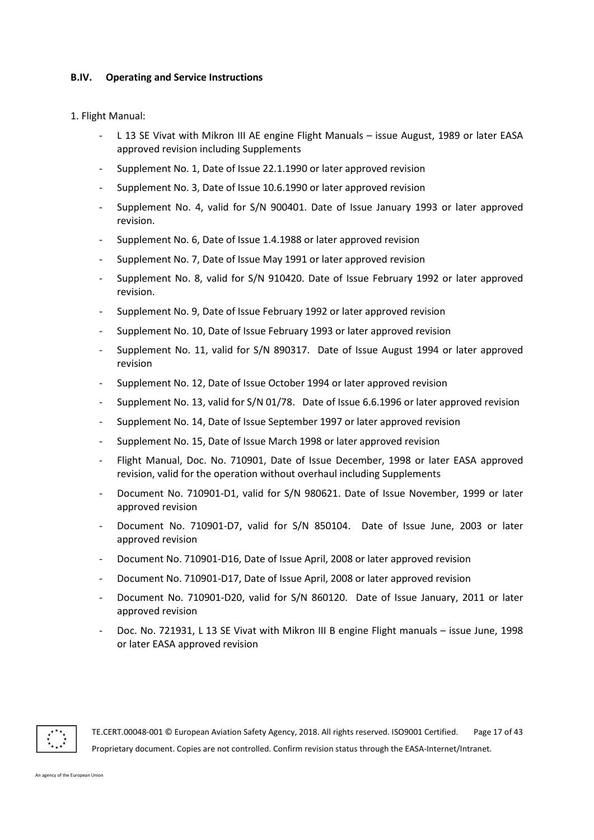#### B.IV. Operating and Service Instructions

- 1. Flight Manual:
	- L 13 SE Vivat with Mikron III AE engine Flight Manuals issue August, 1989 or later EASA approved revision including Supplements
	- Supplement No. 1, Date of Issue 22.1.1990 or later approved revision
	- Supplement No. 3, Date of Issue 10.6.1990 or later approved revision
	- Supplement No. 4, valid for S/N 900401. Date of Issue January 1993 or later approved revision.
	- Supplement No. 6, Date of Issue 1.4.1988 or later approved revision
	- Supplement No. 7, Date of Issue May 1991 or later approved revision
	- Supplement No. 8, valid for S/N 910420. Date of Issue February 1992 or later approved revision.
	- Supplement No. 9, Date of Issue February 1992 or later approved revision
	- Supplement No. 10, Date of Issue February 1993 or later approved revision
	- Supplement No. 11, valid for S/N 890317. Date of Issue August 1994 or later approved revision
	- Supplement No. 12, Date of Issue October 1994 or later approved revision
	- Supplement No. 13, valid for S/N 01/78. Date of Issue 6.6.1996 or later approved revision
	- Supplement No. 14, Date of Issue September 1997 or later approved revision
	- Supplement No. 15, Date of Issue March 1998 or later approved revision
	- Flight Manual, Doc. No. 710901, Date of Issue December, 1998 or later EASA approved revision, valid for the operation without overhaul including Supplements
	- Document No. 710901-D1, valid for S/N 980621. Date of Issue November, 1999 or later approved revision
	- Document No. 710901-D7, valid for S/N 850104. Date of Issue June, 2003 or later approved revision
	- Document No. 710901-D16, Date of Issue April, 2008 or later approved revision
	- Document No. 710901-D17, Date of Issue April, 2008 or later approved revision
	- Document No. 710901-D20, valid for S/N 860120. Date of Issue January, 2011 or later approved revision
	- Doc. No. 721931, L 13 SE Vivat with Mikron III B engine Flight manuals issue June, 1998 or later EASA approved revision



TE.CERT.00048-001 © European Aviation Safety Agency, 2018. All rights reserved. ISO9001 Certified. Page 17 of 43 Proprietary document. Copies are not controlled. Confirm revision status through the EASA-Internet/Intranet.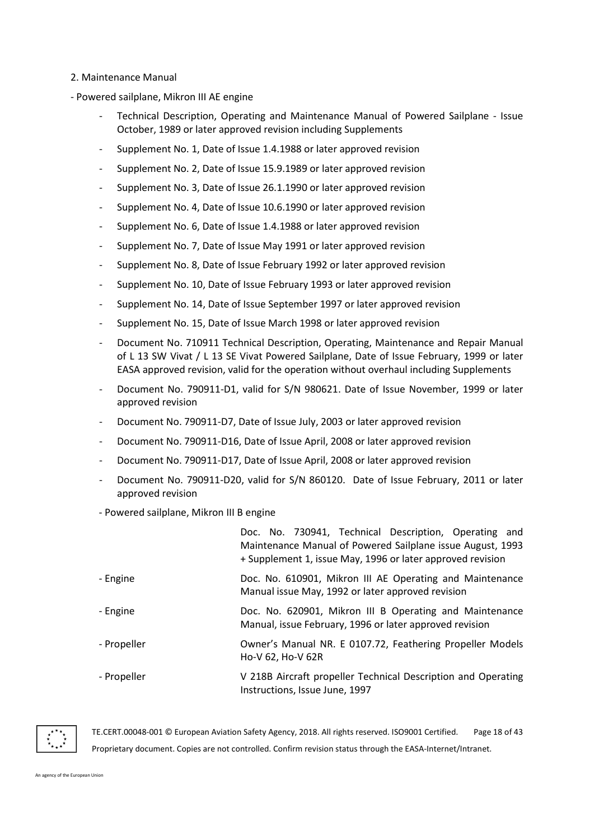- 2. Maintenance Manual
- Powered sailplane, Mikron III AE engine
	- Technical Description, Operating and Maintenance Manual of Powered Sailplane Issue October, 1989 or later approved revision including Supplements
	- Supplement No. 1, Date of Issue 1.4.1988 or later approved revision
	- Supplement No. 2, Date of Issue 15.9.1989 or later approved revision
	- Supplement No. 3, Date of Issue 26.1.1990 or later approved revision
	- Supplement No. 4, Date of Issue 10.6.1990 or later approved revision
	- Supplement No. 6, Date of Issue 1.4.1988 or later approved revision
	- Supplement No. 7, Date of Issue May 1991 or later approved revision
	- Supplement No. 8, Date of Issue February 1992 or later approved revision
	- Supplement No. 10, Date of Issue February 1993 or later approved revision
	- Supplement No. 14, Date of Issue September 1997 or later approved revision
	- Supplement No. 15, Date of Issue March 1998 or later approved revision
	- Document No. 710911 Technical Description, Operating, Maintenance and Repair Manual of L 13 SW Vivat / L 13 SE Vivat Powered Sailplane, Date of Issue February, 1999 or later EASA approved revision, valid for the operation without overhaul including Supplements
	- Document No. 790911-D1, valid for S/N 980621. Date of Issue November, 1999 or later approved revision
	- Document No. 790911-D7, Date of Issue July, 2003 or later approved revision
	- Document No. 790911-D16, Date of Issue April, 2008 or later approved revision
	- Document No. 790911-D17, Date of Issue April, 2008 or later approved revision
	- Document No. 790911-D20, valid for S/N 860120. Date of Issue February, 2011 or later approved revision
	- Powered sailplane, Mikron III B engine

|             | Doc. No. 730941, Technical Description, Operating and<br>Maintenance Manual of Powered Sailplane issue August, 1993<br>+ Supplement 1, issue May, 1996 or later approved revision |
|-------------|-----------------------------------------------------------------------------------------------------------------------------------------------------------------------------------|
| - Engine    | Doc. No. 610901, Mikron III AE Operating and Maintenance<br>Manual issue May, 1992 or later approved revision                                                                     |
| - Engine    | Doc. No. 620901, Mikron III B Operating and Maintenance<br>Manual, issue February, 1996 or later approved revision                                                                |
| - Propeller | Owner's Manual NR. E 0107.72, Feathering Propeller Models<br>Ho-V 62, Ho-V 62R                                                                                                    |
| - Propeller | V 218B Aircraft propeller Technical Description and Operating<br>Instructions, Issue June, 1997                                                                                   |



TE.CERT.00048-001 © European Aviation Safety Agency, 2018. All rights reserved. ISO9001 Certified. Page 18 of 43 Proprietary document. Copies are not controlled. Confirm revision status through the EASA-Internet/Intranet.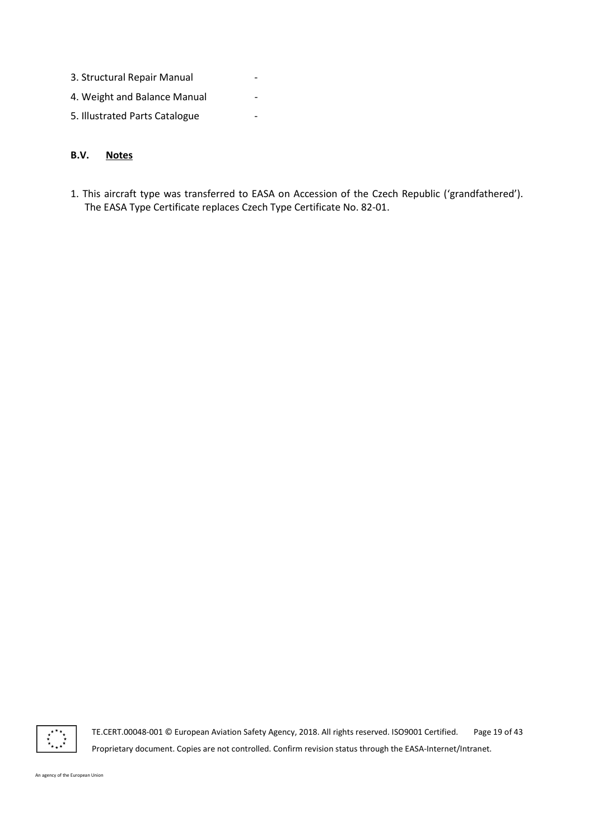- 3. Structural Repair Manual 4. Weight and Balance Manual -
- 5. Illustrated Parts Catalogue -

## B.V. Notes

1. This aircraft type was transferred to EASA on Accession of the Czech Republic ('grandfathered'). The EASA Type Certificate replaces Czech Type Certificate No. 82-01.



TE.CERT.00048-001 © European Aviation Safety Agency, 2018. All rights reserved. ISO9001 Certified. Page 19 of 43 Proprietary document. Copies are not controlled. Confirm revision status through the EASA-Internet/Intranet.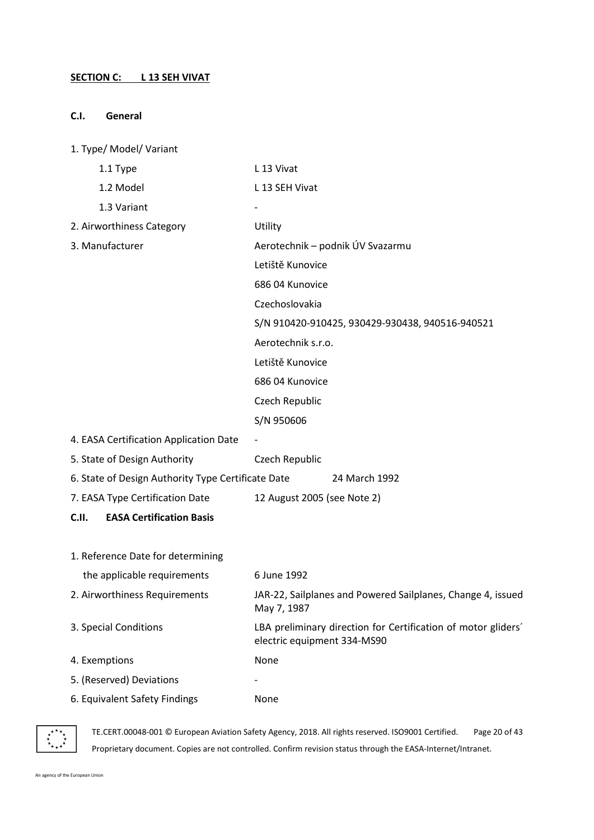## SECTION C: L 13 SEH VIVAT

C.I. General

| 1. Type/ Model/ Variant                            |                             |                                                               |
|----------------------------------------------------|-----------------------------|---------------------------------------------------------------|
| 1.1 Type                                           | L 13 Vivat                  |                                                               |
| 1.2 Model                                          | L 13 SEH Vivat              |                                                               |
| 1.3 Variant                                        |                             |                                                               |
| 2. Airworthiness Category                          | Utility                     |                                                               |
| 3. Manufacturer                                    |                             | Aerotechnik – podnik ÚV Svazarmu                              |
|                                                    | Letiště Kunovice            |                                                               |
|                                                    | 686 04 Kunovice             |                                                               |
|                                                    | Czechoslovakia              |                                                               |
|                                                    |                             | S/N 910420-910425, 930429-930438, 940516-940521               |
|                                                    | Aerotechnik s.r.o.          |                                                               |
|                                                    | Letiště Kunovice            |                                                               |
|                                                    | 686 04 Kunovice             |                                                               |
|                                                    | Czech Republic              |                                                               |
|                                                    | S/N 950606                  |                                                               |
| 4. EASA Certification Application Date             |                             |                                                               |
| 5. State of Design Authority                       | Czech Republic              |                                                               |
| 6. State of Design Authority Type Certificate Date |                             | 24 March 1992                                                 |
| 7. EASA Type Certification Date                    | 12 August 2005 (see Note 2) |                                                               |
| <b>EASA Certification Basis</b><br>C.II.           |                             |                                                               |
|                                                    |                             |                                                               |
| 1. Reference Date for determining                  |                             |                                                               |
| the applicable requirements                        | 6 June 1992                 |                                                               |
| 2. Airworthiness Requirements                      | May 7, 1987                 | JAR-22, Sailplanes and Powered Sailplanes, Change 4, issued   |
| 3. Special Conditions                              | electric equipment 334-MS90 | LBA preliminary direction for Certification of motor gliders' |
| 4. Exemptions                                      | None                        |                                                               |
| 5. (Reserved) Deviations                           |                             |                                                               |
| 6. Equivalent Safety Findings                      | None                        |                                                               |



TE.CERT.00048-001 © European Aviation Safety Agency, 2018. All rights reserved. ISO9001 Certified. Page 20 of 43 Proprietary document. Copies are not controlled. Confirm revision status through the EASA-Internet/Intranet.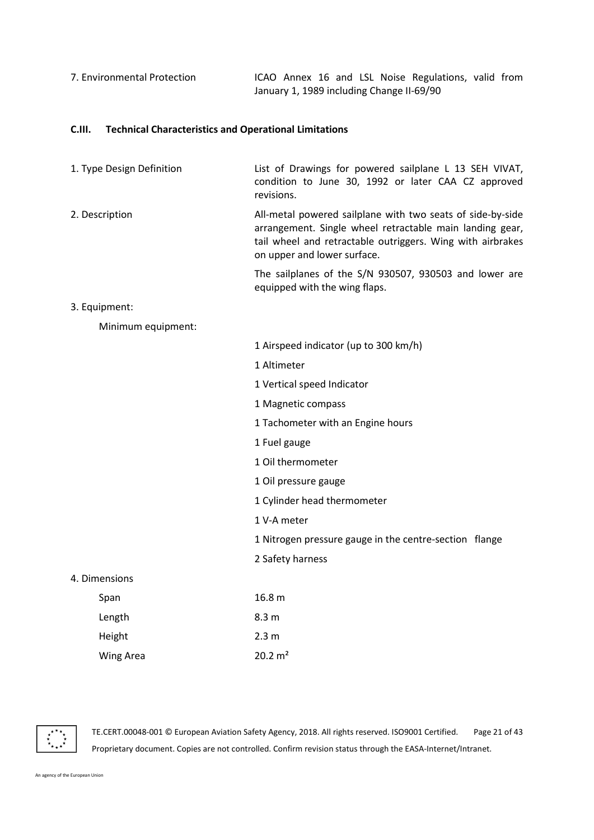| 7. Environmental Protection | ICAO Annex 16 and LSL Noise Regulations, valid from |  |
|-----------------------------|-----------------------------------------------------|--|
|                             | January 1, 1989 including Change II-69/90           |  |

#### C.III. Technical Characteristics and Operational Limitations

| 1. Type Design Definition | List of Drawings for powered sailplane L 13 SEH VIVAT,<br>condition to June 30, 1992 or later CAA CZ approved |
|---------------------------|---------------------------------------------------------------------------------------------------------------|
|                           | revisions.                                                                                                    |
| 2. Description            | All-metal powered sailplane with two seats of side-by-side                                                    |

arrangement. Single wheel retractable main landing gear, tail wheel and retractable outriggers. Wing with airbrakes on upper and lower surface.

> The sailplanes of the S/N 930507, 930503 and lower are equipped with the wing flaps.

#### 3. Equipment:

Minimum equipment:

1 Airspeed indicator (up to 300 km/h)

- 1 Altimeter
- 1 Vertical speed Indicator
- 1 Magnetic compass
- 1 Tachometer with an Engine hours
- 1 Fuel gauge
- 1 Oil thermometer
- 1 Oil pressure gauge
- 1 Cylinder head thermometer
- 1 V-A meter
- 1 Nitrogen pressure gauge in the centre-section flange
- 2 Safety harness

4. Dimensions

| Span      | 16.8 <sub>m</sub>  |
|-----------|--------------------|
| Length    | 8.3 m              |
| Height    | 2.3 m              |
| Wing Area | $20.2 \text{ m}^2$ |



TE.CERT.00048-001 © European Aviation Safety Agency, 2018. All rights reserved. ISO9001 Certified. Page 21 of 43 Proprietary document. Copies are not controlled. Confirm revision status through the EASA-Internet/Intranet.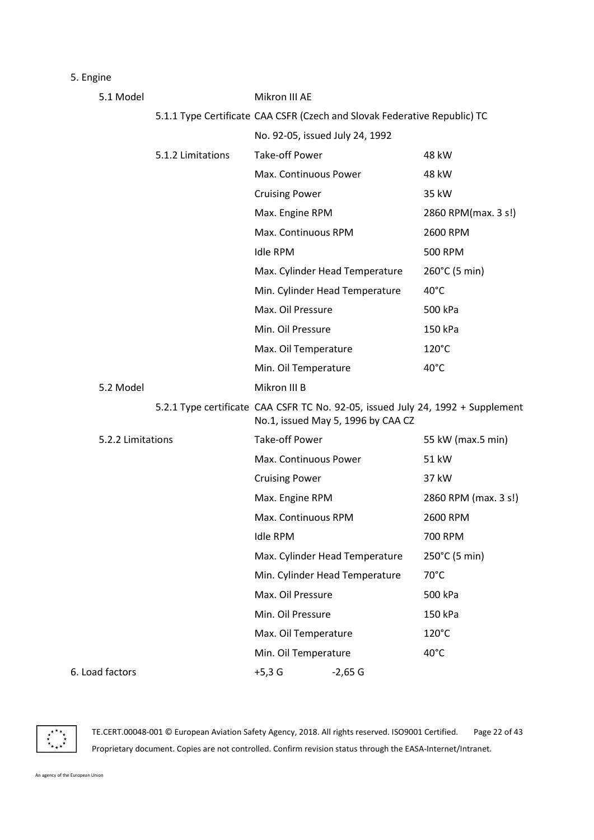## 5. Engine

| 5.1 Model         |                   | Mikron III AE                                                             |                                                                                                                       |                      |  |  |  |
|-------------------|-------------------|---------------------------------------------------------------------------|-----------------------------------------------------------------------------------------------------------------------|----------------------|--|--|--|
|                   |                   | 5.1.1 Type Certificate CAA CSFR (Czech and Slovak Federative Republic) TC |                                                                                                                       |                      |  |  |  |
|                   |                   | No. 92-05, issued July 24, 1992                                           |                                                                                                                       |                      |  |  |  |
|                   | 5.1.2 Limitations | <b>Take-off Power</b>                                                     |                                                                                                                       | 48 kW                |  |  |  |
|                   |                   | Max. Continuous Power                                                     |                                                                                                                       | 48 kW                |  |  |  |
|                   |                   | <b>Cruising Power</b>                                                     |                                                                                                                       | 35 kW                |  |  |  |
|                   |                   | Max. Engine RPM                                                           |                                                                                                                       | 2860 RPM(max. 3 s!)  |  |  |  |
|                   |                   | Max. Continuous RPM                                                       |                                                                                                                       | 2600 RPM             |  |  |  |
|                   |                   | <b>Idle RPM</b>                                                           |                                                                                                                       | <b>500 RPM</b>       |  |  |  |
|                   |                   |                                                                           | Max. Cylinder Head Temperature                                                                                        | 260°C (5 min)        |  |  |  |
|                   |                   |                                                                           | Min. Cylinder Head Temperature                                                                                        | 40°C                 |  |  |  |
|                   |                   | Max. Oil Pressure                                                         |                                                                                                                       | 500 kPa              |  |  |  |
|                   |                   | Min. Oil Pressure                                                         |                                                                                                                       | 150 kPa              |  |  |  |
|                   |                   | Max. Oil Temperature                                                      |                                                                                                                       | $120^{\circ}$ C      |  |  |  |
|                   |                   | Min. Oil Temperature                                                      |                                                                                                                       | $40^{\circ}$ C       |  |  |  |
| 5.2 Model         |                   | Mikron III B                                                              |                                                                                                                       |                      |  |  |  |
|                   |                   |                                                                           | 5.2.1 Type certificate CAA CSFR TC No. 92-05, issued July 24, 1992 + Supplement<br>No.1, issued May 5, 1996 by CAA CZ |                      |  |  |  |
| 5.2.2 Limitations |                   | <b>Take-off Power</b>                                                     |                                                                                                                       | 55 kW (max.5 min)    |  |  |  |
|                   |                   | Max. Continuous Power                                                     |                                                                                                                       | 51 kW                |  |  |  |
|                   |                   | <b>Cruising Power</b>                                                     |                                                                                                                       | 37 kW                |  |  |  |
|                   |                   | Max. Engine RPM                                                           |                                                                                                                       | 2860 RPM (max. 3 s!) |  |  |  |
|                   |                   | Max. Continuous RPM                                                       |                                                                                                                       | 2600 RPM             |  |  |  |
|                   |                   | Idle RPM                                                                  |                                                                                                                       | 700 RPM              |  |  |  |
|                   |                   | Max. Cylinder Head Temperature                                            |                                                                                                                       | 250°C (5 min)        |  |  |  |
|                   |                   |                                                                           | Min. Cylinder Head Temperature                                                                                        | 70°C                 |  |  |  |
|                   |                   |                                                                           | Max. Oil Pressure                                                                                                     | 500 kPa              |  |  |  |
|                   |                   |                                                                           | Min. Oil Pressure                                                                                                     | 150 kPa              |  |  |  |
|                   |                   | Max. Oil Temperature                                                      |                                                                                                                       | 120°C                |  |  |  |
|                   |                   | 40°C<br>Min. Oil Temperature                                              |                                                                                                                       |                      |  |  |  |
| 6. Load factors   |                   | $+5,3$ G                                                                  | $-2,65$ G                                                                                                             |                      |  |  |  |



TE.CERT.00048-001 © European Aviation Safety Agency, 2018. All rights reserved. ISO9001 Certified. Page 22 of 43 Proprietary document. Copies are not controlled. Confirm revision status through the EASA-Internet/Intranet.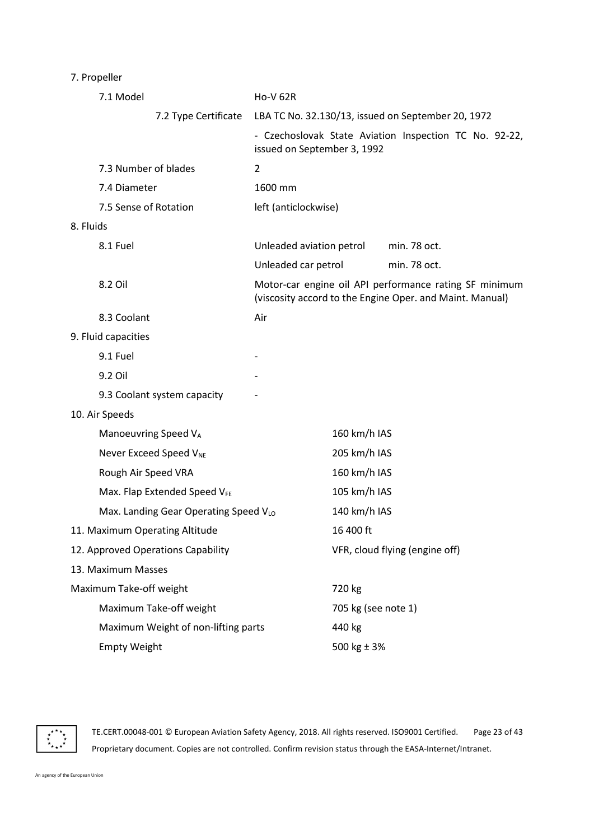# 7. Propeller

|           | 7.1 Model                             | <b>Ho-V 62R</b>                                                                       |                     |                                                                                                                    |
|-----------|---------------------------------------|---------------------------------------------------------------------------------------|---------------------|--------------------------------------------------------------------------------------------------------------------|
|           | 7.2 Type Certificate                  | LBA TC No. 32.130/13, issued on September 20, 1972                                    |                     |                                                                                                                    |
|           |                                       | - Czechoslovak State Aviation Inspection TC No. 92-22,<br>issued on September 3, 1992 |                     |                                                                                                                    |
|           | 7.3 Number of blades                  | $\overline{2}$                                                                        |                     |                                                                                                                    |
|           | 7.4 Diameter                          | 1600 mm                                                                               |                     |                                                                                                                    |
|           | 7.5 Sense of Rotation                 | left (anticlockwise)                                                                  |                     |                                                                                                                    |
| 8. Fluids |                                       |                                                                                       |                     |                                                                                                                    |
|           | 8.1 Fuel                              | Unleaded aviation petrol                                                              |                     | min. 78 oct.                                                                                                       |
|           |                                       | Unleaded car petrol                                                                   |                     | min. 78 oct.                                                                                                       |
|           | 8.2 Oil                               |                                                                                       |                     | Motor-car engine oil API performance rating SF minimum<br>(viscosity accord to the Engine Oper. and Maint. Manual) |
|           | 8.3 Coolant                           | Air                                                                                   |                     |                                                                                                                    |
|           | 9. Fluid capacities                   |                                                                                       |                     |                                                                                                                    |
|           | 9.1 Fuel                              |                                                                                       |                     |                                                                                                                    |
|           | 9.2 Oil                               |                                                                                       |                     |                                                                                                                    |
|           | 9.3 Coolant system capacity           |                                                                                       |                     |                                                                                                                    |
|           | 10. Air Speeds                        |                                                                                       |                     |                                                                                                                    |
|           | Manoeuvring Speed VA                  |                                                                                       | 160 km/h IAS        |                                                                                                                    |
|           | Never Exceed Speed V <sub>NE</sub>    |                                                                                       | 205 km/h IAS        |                                                                                                                    |
|           | Rough Air Speed VRA                   |                                                                                       | 160 km/h IAS        |                                                                                                                    |
|           | Max. Flap Extended Speed VFE          |                                                                                       | 105 km/h IAS        |                                                                                                                    |
|           | Max. Landing Gear Operating Speed VLO |                                                                                       | 140 km/h IAS        |                                                                                                                    |
|           | 11. Maximum Operating Altitude        |                                                                                       | 16 400 ft           |                                                                                                                    |
|           | 12. Approved Operations Capability    |                                                                                       |                     | VFR, cloud flying (engine off)                                                                                     |
|           | 13. Maximum Masses                    |                                                                                       |                     |                                                                                                                    |
|           | Maximum Take-off weight               |                                                                                       | 720 kg              |                                                                                                                    |
|           | Maximum Take-off weight               |                                                                                       | 705 kg (see note 1) |                                                                                                                    |
|           | Maximum Weight of non-lifting parts   |                                                                                       | 440 kg              |                                                                                                                    |
|           | <b>Empty Weight</b>                   |                                                                                       | 500 kg ± 3%         |                                                                                                                    |



TE.CERT.00048-001 © European Aviation Safety Agency, 2018. All rights reserved. ISO9001 Certified. Page 23 of 43 Proprietary document. Copies are not controlled. Confirm revision status through the EASA-Internet/Intranet.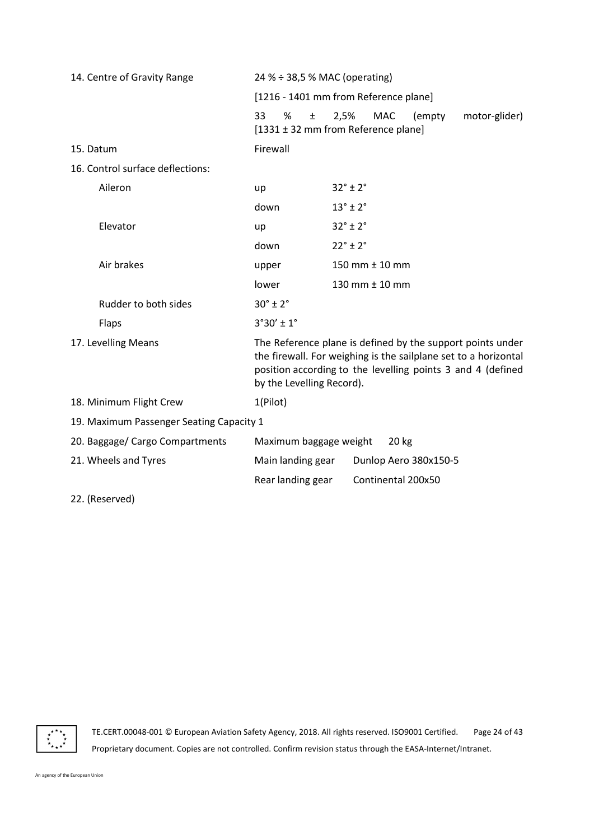| 14. Centre of Gravity Range              | 24 % ÷ 38,5 % MAC (operating)                                                                                                                                                                                             |       |                        |                    |                       |               |
|------------------------------------------|---------------------------------------------------------------------------------------------------------------------------------------------------------------------------------------------------------------------------|-------|------------------------|--------------------|-----------------------|---------------|
|                                          | [1216 - 1401 mm from Reference plane]                                                                                                                                                                                     |       |                        |                    |                       |               |
|                                          | %<br>33<br>[1331 ± 32 mm from Reference plane]                                                                                                                                                                            | $\pm$ | 2,5%                   | <b>MAC</b>         | (empty                | motor-glider) |
| 15. Datum                                | Firewall                                                                                                                                                                                                                  |       |                        |                    |                       |               |
| 16. Control surface deflections:         |                                                                                                                                                                                                                           |       |                        |                    |                       |               |
| Aileron                                  | up                                                                                                                                                                                                                        |       | $32^\circ \pm 2^\circ$ |                    |                       |               |
|                                          | down                                                                                                                                                                                                                      |       | $13^\circ \pm 2^\circ$ |                    |                       |               |
| Elevator                                 | up                                                                                                                                                                                                                        |       | $32^\circ \pm 2^\circ$ |                    |                       |               |
|                                          | down<br>upper                                                                                                                                                                                                             |       | $22^\circ \pm 2^\circ$ |                    |                       |               |
| Air brakes                               |                                                                                                                                                                                                                           |       | 150 mm ± 10 mm         |                    |                       |               |
|                                          | lower                                                                                                                                                                                                                     |       |                        | 130 mm ± 10 mm     |                       |               |
| Rudder to both sides                     | $30^\circ \pm 2^\circ$                                                                                                                                                                                                    |       |                        |                    |                       |               |
| Flaps                                    | $3°30' \pm 1°$                                                                                                                                                                                                            |       |                        |                    |                       |               |
| 17. Levelling Means                      | The Reference plane is defined by the support points under<br>the firewall. For weighing is the sailplane set to a horizontal<br>position according to the levelling points 3 and 4 (defined<br>by the Levelling Record). |       |                        |                    |                       |               |
| 18. Minimum Flight Crew                  | 1(Pilot)                                                                                                                                                                                                                  |       |                        |                    |                       |               |
| 19. Maximum Passenger Seating Capacity 1 |                                                                                                                                                                                                                           |       |                        |                    |                       |               |
| 20. Baggage/ Cargo Compartments          | Maximum baggage weight<br>$20$ kg                                                                                                                                                                                         |       |                        |                    |                       |               |
| 21. Wheels and Tyres                     | Main landing gear                                                                                                                                                                                                         |       |                        |                    | Dunlop Aero 380x150-5 |               |
|                                          | Rear landing gear                                                                                                                                                                                                         |       |                        | Continental 200x50 |                       |               |
|                                          |                                                                                                                                                                                                                           |       |                        |                    |                       |               |



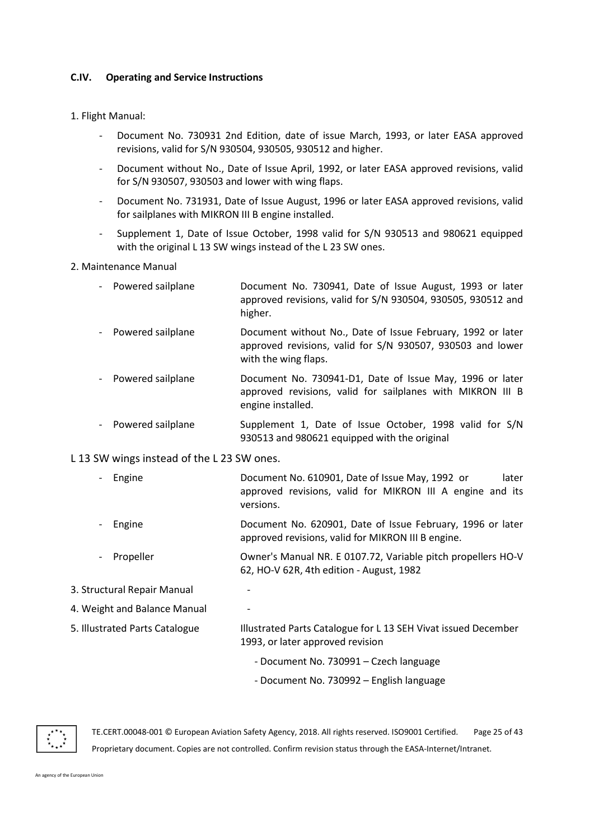#### C.IV. Operating and Service Instructions

- 1. Flight Manual:
	- Document No. 730931 2nd Edition, date of issue March, 1993, or later EASA approved revisions, valid for S/N 930504, 930505, 930512 and higher.
	- Document without No., Date of Issue April, 1992, or later EASA approved revisions, valid for S/N 930507, 930503 and lower with wing flaps.
	- Document No. 731931, Date of Issue August, 1996 or later EASA approved revisions, valid for sailplanes with MIKRON III B engine installed.
	- Supplement 1, Date of Issue October, 1998 valid for S/N 930513 and 980621 equipped with the original L 13 SW wings instead of the L 23 SW ones.

#### 2. Maintenance Manual

| - Powered sailplane | Document No. 730941, Date of Issue August, 1993 or later<br>approved revisions, valid for S/N 930504, 930505, 930512 and<br>higher.               |
|---------------------|---------------------------------------------------------------------------------------------------------------------------------------------------|
| - Powered sailplane | Document without No., Date of Issue February, 1992 or later<br>approved revisions, valid for S/N 930507, 930503 and lower<br>with the wing flaps. |
| - Powered sailplane | Document No. 730941-D1, Date of Issue May, 1996 or later<br>approved revisions, valid for sailplanes with MIKRON III B<br>engine installed.       |
| - Powered sailplane | Supplement 1, Date of Issue October, 1998 valid for S/N<br>930513 and 980621 equipped with the original                                           |

#### L 13 SW wings instead of the L 23 SW ones.

- Engine **Document No. 610901, Date of Issue May, 1992** or later approved revisions, valid for MIKRON III A engine and its versions.
- Engine **Document No. 620901, Date of Issue February, 1996 or later** approved revisions, valid for MIKRON III B engine.
- Propeller **Canadia Communision Communision** Owner's Manual NR. E 0107.72, Variable pitch propellers HO-V 62, HO-V 62R, 4th edition - August, 1982

# 3. Structural Repair Manual -

- 4. Weight and Balance Manual
- 
- 5. Illustrated Parts Catalogue Illustrated Parts Catalogue for L 13 SEH Vivat issued December 1993, or later approved revision
	- Document No. 730991 Czech language
	- Document No. 730992 English language



TE.CERT.00048-001 © European Aviation Safety Agency, 2018. All rights reserved. ISO9001 Certified. Page 25 of 43 Proprietary document. Copies are not controlled. Confirm revision status through the EASA-Internet/Intranet.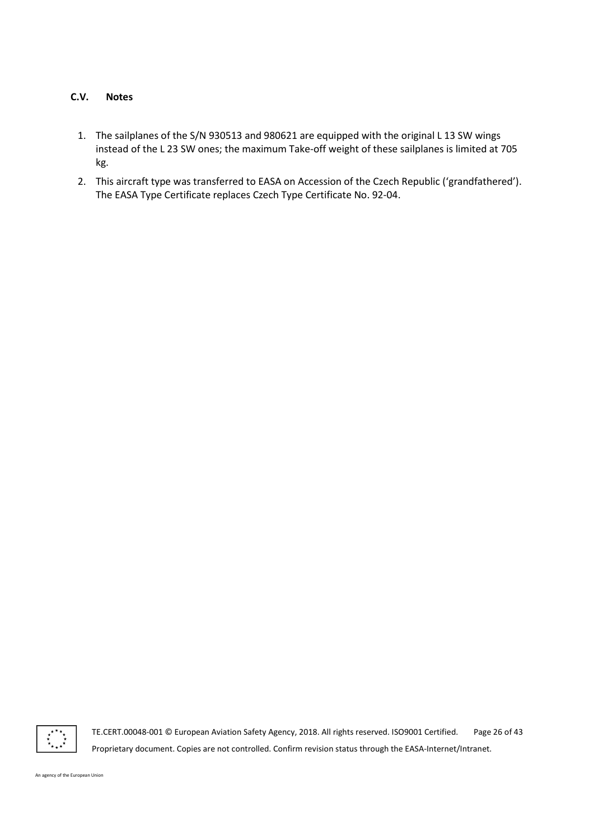## C.V. Notes

- 1. The sailplanes of the S/N 930513 and 980621 are equipped with the original L 13 SW wings instead of the L 23 SW ones; the maximum Take-off weight of these sailplanes is limited at 705 kg.
- 2. This aircraft type was transferred to EASA on Accession of the Czech Republic ('grandfathered'). The EASA Type Certificate replaces Czech Type Certificate No. 92-04.



TE.CERT.00048-001 © European Aviation Safety Agency, 2018. All rights reserved. ISO9001 Certified. Page 26 of 43 Proprietary document. Copies are not controlled. Confirm revision status through the EASA-Internet/Intranet.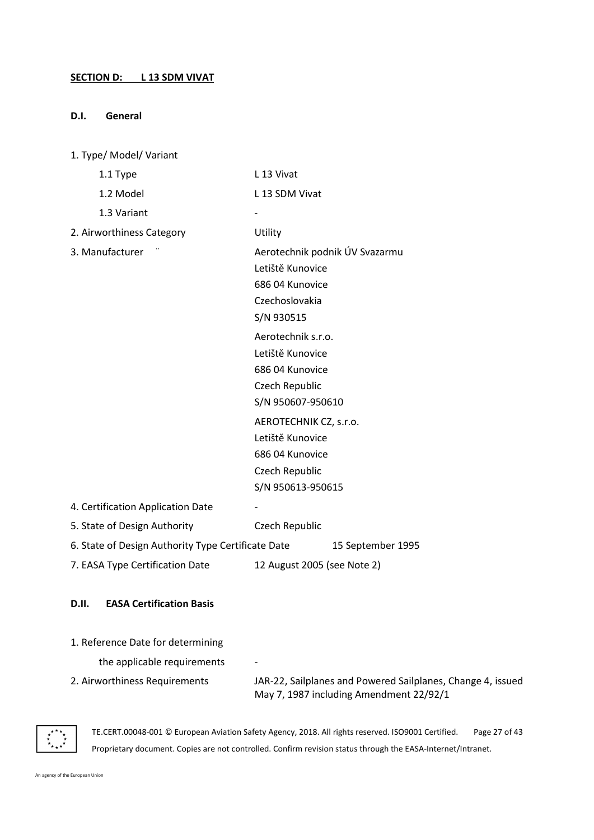## SECTION D: L 13 SDM VIVAT

## D.I. General

1. Type/ Model/ Variant

| 1.1 Type                                           | L 13 Vivat                     |
|----------------------------------------------------|--------------------------------|
| 1.2 Model                                          | L 13 SDM Vivat                 |
| 1.3 Variant                                        |                                |
| 2. Airworthiness Category                          | Utility                        |
| 3. Manufacturer                                    | Aerotechnik podnik ÚV Svazarmu |
|                                                    | Letiště Kunovice               |
|                                                    | 686 04 Kunovice                |
|                                                    | Czechoslovakia                 |
|                                                    | S/N 930515                     |
|                                                    | Aerotechnik s.r.o.             |
|                                                    | Letiště Kunovice               |
|                                                    | 686 04 Kunovice                |
|                                                    | Czech Republic                 |
|                                                    | S/N 950607-950610              |
|                                                    | AEROTECHNIK CZ, s.r.o.         |
|                                                    | Letiště Kunovice               |
|                                                    | 686 04 Kunovice                |
|                                                    | Czech Republic                 |
|                                                    | S/N 950613-950615              |
| 4. Certification Application Date                  |                                |
| 5. State of Design Authority                       | Czech Republic                 |
| 6. State of Design Authority Type Certificate Date | 15 September 1995              |
| 7. EASA Type Certification Date                    | 12 August 2005 (see Note 2)    |
|                                                    |                                |

## D.II. EASA Certification Basis

| 1. Reference Date for determining |                                                                                                        |
|-----------------------------------|--------------------------------------------------------------------------------------------------------|
| the applicable requirements       | $\overline{\phantom{a}}$                                                                               |
| 2. Airworthiness Requirements     | JAR-22, Sailplanes and Powered Sailplanes, Change 4, issued<br>May 7, 1987 including Amendment 22/92/1 |



TE.CERT.00048-001 © European Aviation Safety Agency, 2018. All rights reserved. ISO9001 Certified. Page 27 of 43 Proprietary document. Copies are not controlled. Confirm revision status through the EASA-Internet/Intranet.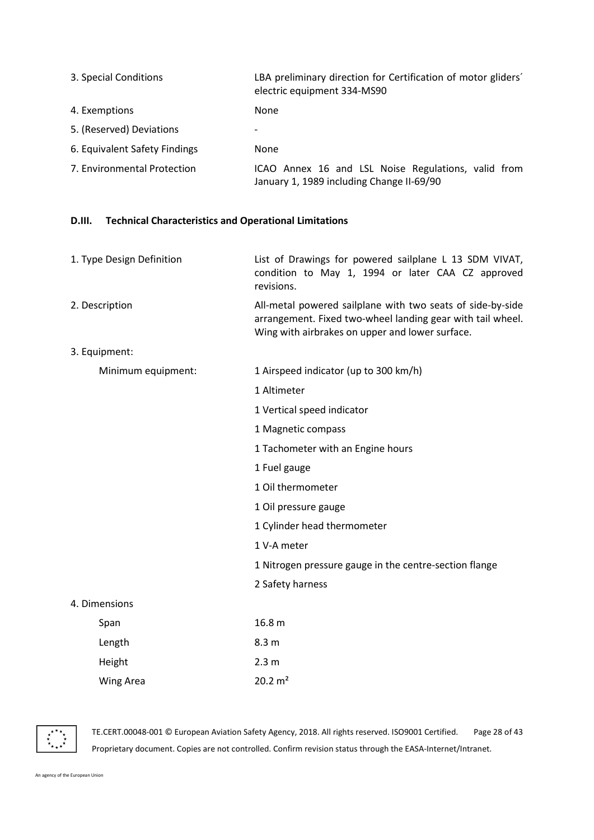| 3. Special Conditions         | LBA preliminary direction for Certification of motor gliders'<br>electric equipment 334-MS90     |
|-------------------------------|--------------------------------------------------------------------------------------------------|
| 4. Exemptions                 | <b>None</b>                                                                                      |
| 5. (Reserved) Deviations      | $\qquad \qquad$                                                                                  |
| 6. Equivalent Safety Findings | None                                                                                             |
| 7. Environmental Protection   | ICAO Annex 16 and LSL Noise Regulations, valid from<br>January 1, 1989 including Change II-69/90 |

# D.III. Technical Characteristics and Operational Limitations

| 1. Type Design Definition | List of Drawings for powered sailplane L 13 SDM VIVAT,<br>condition to May 1, 1994 or later CAA CZ approved<br>revisions.                                                   |
|---------------------------|-----------------------------------------------------------------------------------------------------------------------------------------------------------------------------|
| 2. Description            | All-metal powered sailplane with two seats of side-by-side<br>arrangement. Fixed two-wheel landing gear with tail wheel.<br>Wing with airbrakes on upper and lower surface. |
| 3. Equipment:             |                                                                                                                                                                             |
| Minimum equipment:        | 1 Airspeed indicator (up to 300 km/h)                                                                                                                                       |
|                           | 1 Altimeter                                                                                                                                                                 |
|                           | 1 Vertical speed indicator                                                                                                                                                  |
|                           | 1 Magnetic compass                                                                                                                                                          |
|                           | 1 Tachometer with an Engine hours                                                                                                                                           |
|                           | 1 Fuel gauge                                                                                                                                                                |
|                           | 1 Oil thermometer                                                                                                                                                           |
|                           | 1 Oil pressure gauge                                                                                                                                                        |
|                           | 1 Cylinder head thermometer                                                                                                                                                 |
|                           | 1 V-A meter                                                                                                                                                                 |
|                           | 1 Nitrogen pressure gauge in the centre-section flange                                                                                                                      |
|                           | 2 Safety harness                                                                                                                                                            |
| 4. Dimensions             |                                                                                                                                                                             |
| Span                      | 16.8 m                                                                                                                                                                      |
| Length                    | 8.3 <sub>m</sub>                                                                                                                                                            |
| Height                    | 2.3 <sub>m</sub>                                                                                                                                                            |
| Wing Area                 | $20.2 \text{ m}^2$                                                                                                                                                          |



TE.CERT.00048-001 © European Aviation Safety Agency, 2018. All rights reserved. ISO9001 Certified. Page 28 of 43 Proprietary document. Copies are not controlled. Confirm revision status through the EASA-Internet/Intranet.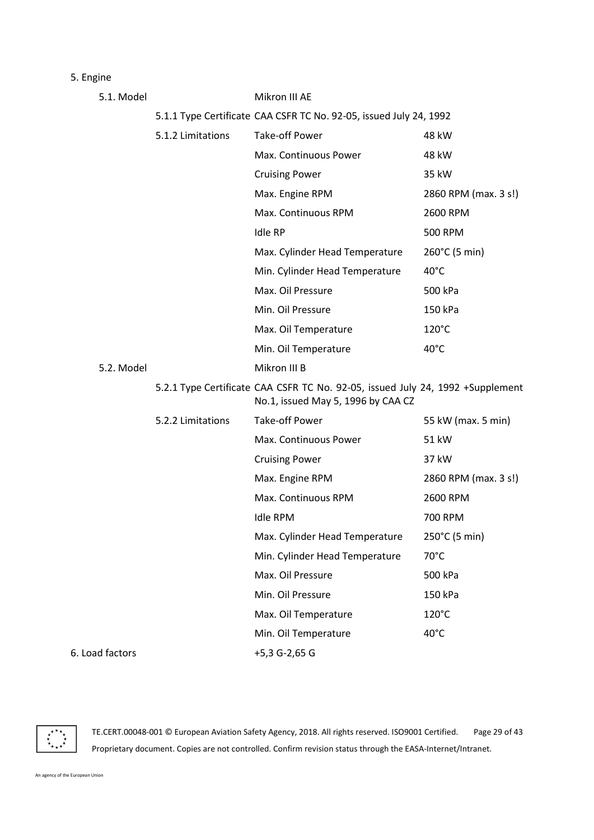# 5. Engine

| 5.1. Model      |                   | Mikron III AE                                                                                                        |                      |
|-----------------|-------------------|----------------------------------------------------------------------------------------------------------------------|----------------------|
|                 |                   | 5.1.1 Type Certificate CAA CSFR TC No. 92-05, issued July 24, 1992                                                   |                      |
|                 | 5.1.2 Limitations | Take-off Power                                                                                                       | 48 kW                |
|                 |                   | Max. Continuous Power                                                                                                | 48 kW                |
|                 |                   | <b>Cruising Power</b>                                                                                                | 35 kW                |
|                 |                   | Max. Engine RPM                                                                                                      | 2860 RPM (max. 3 s!) |
|                 |                   | Max. Continuous RPM                                                                                                  | 2600 RPM             |
|                 |                   | Idle RP                                                                                                              | <b>500 RPM</b>       |
|                 |                   | Max. Cylinder Head Temperature                                                                                       | 260°C (5 min)        |
|                 |                   | Min. Cylinder Head Temperature                                                                                       | 40°C                 |
|                 |                   | Max. Oil Pressure                                                                                                    | 500 kPa              |
|                 |                   | Min. Oil Pressure                                                                                                    | 150 kPa              |
|                 |                   | Max. Oil Temperature                                                                                                 | 120°C                |
|                 |                   | Min. Oil Temperature                                                                                                 | 40°C                 |
| 5.2. Model      |                   | Mikron III B                                                                                                         |                      |
|                 |                   | 5.2.1 Type Certificate CAA CSFR TC No. 92-05, issued July 24, 1992 +Supplement<br>No.1, issued May 5, 1996 by CAA CZ |                      |
|                 | 5.2.2 Limitations | <b>Take-off Power</b>                                                                                                | 55 kW (max. 5 min)   |
|                 |                   | Max. Continuous Power                                                                                                | 51 kW                |
|                 |                   | <b>Cruising Power</b>                                                                                                | 37 kW                |
|                 |                   | Max. Engine RPM                                                                                                      | 2860 RPM (max. 3 s!) |
|                 |                   | Max. Continuous RPM                                                                                                  | 2600 RPM             |
|                 |                   | <b>Idle RPM</b>                                                                                                      | 700 RPM              |
|                 |                   | Max. Cylinder Head Temperature                                                                                       | 250°C (5 min)        |
|                 |                   | Min. Cylinder Head Temperature                                                                                       | 70°C                 |
|                 |                   | Max. Oil Pressure                                                                                                    | 500 kPa              |
|                 |                   | Min. Oil Pressure                                                                                                    | 150 kPa              |
|                 |                   | Max. Oil Temperature                                                                                                 | 120°C                |
|                 |                   | Min. Oil Temperature                                                                                                 | 40°C                 |
| 6. Load factors |                   | +5,3 G-2,65 G                                                                                                        |                      |



TE.CERT.00048-001 © European Aviation Safety Agency, 2018. All rights reserved. ISO9001 Certified. Page 29 of 43 Proprietary document. Copies are not controlled. Confirm revision status through the EASA-Internet/Intranet.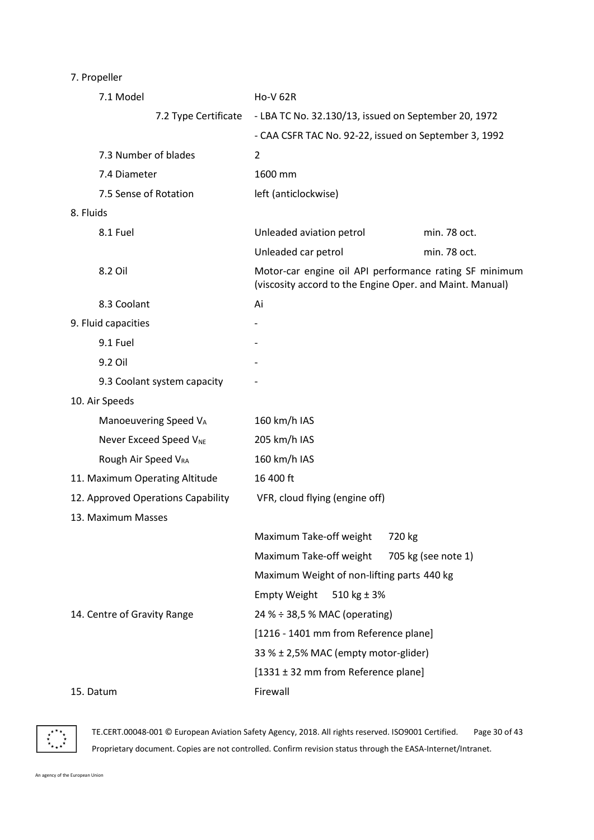# 7. Propeller

|           | 7.1 Model                          | <b>Ho-V 62R</b>                                          |                                                        |
|-----------|------------------------------------|----------------------------------------------------------|--------------------------------------------------------|
|           | 7.2 Type Certificate               | - LBA TC No. 32.130/13, issued on September 20, 1972     |                                                        |
|           |                                    | - CAA CSFR TAC No. 92-22, issued on September 3, 1992    |                                                        |
|           | 7.3 Number of blades               | $\overline{2}$                                           |                                                        |
|           | 7.4 Diameter                       | 1600 mm                                                  |                                                        |
|           | 7.5 Sense of Rotation              | left (anticlockwise)                                     |                                                        |
| 8. Fluids |                                    |                                                          |                                                        |
|           | 8.1 Fuel                           | Unleaded aviation petrol                                 | min. 78 oct.                                           |
|           |                                    | Unleaded car petrol                                      | min. 78 oct.                                           |
|           | 8.2 Oil                            | (viscosity accord to the Engine Oper. and Maint. Manual) | Motor-car engine oil API performance rating SF minimum |
|           | 8.3 Coolant                        | Ai                                                       |                                                        |
|           | 9. Fluid capacities                |                                                          |                                                        |
|           | 9.1 Fuel                           |                                                          |                                                        |
|           | 9.2 Oil                            |                                                          |                                                        |
|           | 9.3 Coolant system capacity        |                                                          |                                                        |
|           | 10. Air Speeds                     |                                                          |                                                        |
|           | Manoeuvering Speed VA              | 160 km/h IAS                                             |                                                        |
|           | Never Exceed Speed V <sub>NE</sub> | 205 km/h IAS                                             |                                                        |
|           | Rough Air Speed V <sub>RA</sub>    | 160 km/h IAS                                             |                                                        |
|           | 11. Maximum Operating Altitude     | 16 400 ft                                                |                                                        |
|           | 12. Approved Operations Capability | VFR, cloud flying (engine off)                           |                                                        |
|           | 13. Maximum Masses                 |                                                          |                                                        |
|           |                                    | Maximum Take-off weight                                  | 720 kg                                                 |
|           |                                    | Maximum Take-off weight                                  | 705 kg (see note 1)                                    |
|           |                                    | Maximum Weight of non-lifting parts 440 kg               |                                                        |
|           |                                    | Empty Weight 510 kg ± 3%                                 |                                                        |
|           | 14. Centre of Gravity Range        | 24 % ÷ 38,5 % MAC (operating)                            |                                                        |
|           |                                    | [1216 - 1401 mm from Reference plane]                    |                                                        |
|           |                                    | 33 % ± 2,5% MAC (empty motor-glider)                     |                                                        |
|           |                                    | [1331 ± 32 mm from Reference plane]                      |                                                        |
|           | 15. Datum                          | Firewall                                                 |                                                        |

 $\frac{\overline{1}^{\star}}{\overline{1}^{\star}_{\star}}$ 

TE.CERT.00048-001 © European Aviation Safety Agency, 2018. All rights reserved. ISO9001 Certified. Page 30 of 43 Proprietary document. Copies are not controlled. Confirm revision status through the EASA-Internet/Intranet.

An agency of the European Union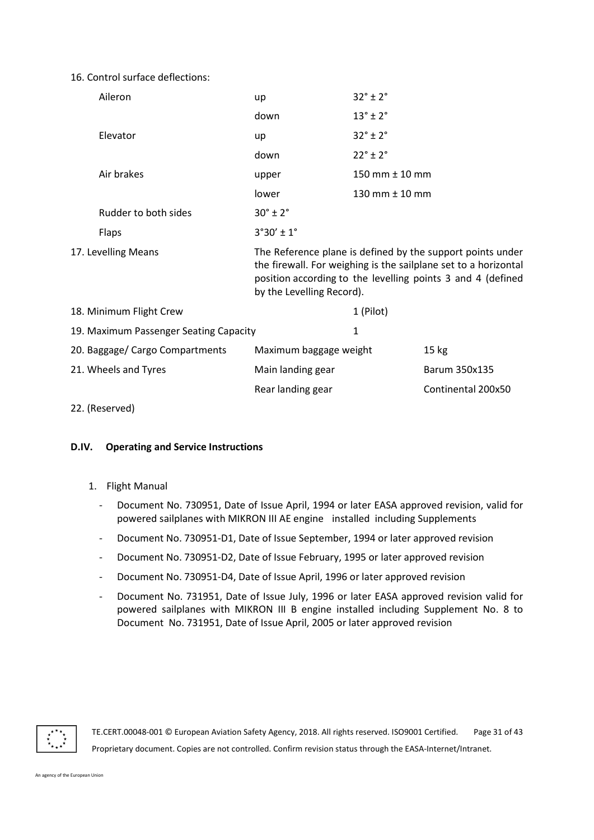#### 16. Control surface deflections:

| Aileron                                | up                        | $32^\circ \pm 2^\circ$ |                                                                                                                                                                                              |
|----------------------------------------|---------------------------|------------------------|----------------------------------------------------------------------------------------------------------------------------------------------------------------------------------------------|
|                                        | down                      | $13^\circ \pm 2^\circ$ |                                                                                                                                                                                              |
| Elevator                               | up                        | $32^\circ \pm 2^\circ$ |                                                                                                                                                                                              |
|                                        | down                      | $22^\circ \pm 2^\circ$ |                                                                                                                                                                                              |
| Air brakes                             | upper                     | $150$ mm $\pm$ 10 mm   |                                                                                                                                                                                              |
|                                        | lower                     | 130 mm $\pm$ 10 mm     |                                                                                                                                                                                              |
| Rudder to both sides                   | $30^\circ \pm 2^\circ$    |                        |                                                                                                                                                                                              |
| Flaps                                  | $3°30' \pm 1°$            |                        |                                                                                                                                                                                              |
| 17. Levelling Means                    | by the Levelling Record). |                        | The Reference plane is defined by the support points under<br>the firewall. For weighing is the sailplane set to a horizontal<br>position according to the levelling points 3 and 4 (defined |
| 18. Minimum Flight Crew                |                           | 1 (Pilot)              |                                                                                                                                                                                              |
| 19. Maximum Passenger Seating Capacity |                           | 1                      |                                                                                                                                                                                              |
| 20. Baggage/ Cargo Compartments        | Maximum baggage weight    |                        | 15 <sub>kg</sub>                                                                                                                                                                             |
| 21. Wheels and Tyres                   | Main landing gear         |                        | Barum 350x135                                                                                                                                                                                |
|                                        | Rear landing gear         |                        | Continental 200x50                                                                                                                                                                           |

22. (Reserved)

#### D.IV. Operating and Service Instructions

- 1. Flight Manual
	- Document No. 730951, Date of Issue April, 1994 or later EASA approved revision, valid for powered sailplanes with MIKRON III AE engine installed including Supplements
	- Document No. 730951-D1, Date of Issue September, 1994 or later approved revision
	- Document No. 730951-D2, Date of Issue February, 1995 or later approved revision
	- Document No. 730951-D4, Date of Issue April, 1996 or later approved revision
	- Document No. 731951, Date of Issue July, 1996 or later EASA approved revision valid for powered sailplanes with MIKRON III B engine installed including Supplement No. 8 to Document No. 731951, Date of Issue April, 2005 or later approved revision

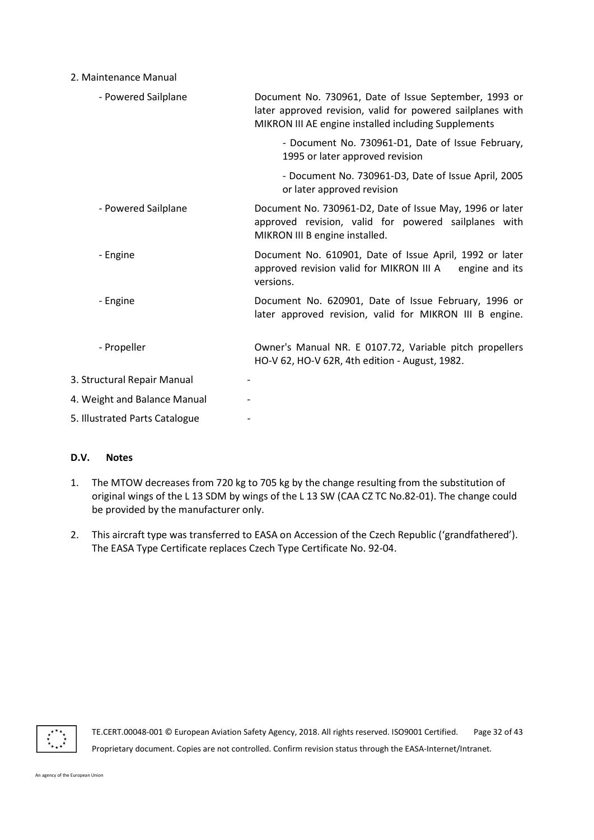#### 2. Maintenance Manual

| - Powered Sailplane            | Document No. 730961, Date of Issue September, 1993 or<br>later approved revision, valid for powered sailplanes with                                |
|--------------------------------|----------------------------------------------------------------------------------------------------------------------------------------------------|
|                                | MIKRON III AE engine installed including Supplements                                                                                               |
|                                | - Document No. 730961-D1, Date of Issue February,<br>1995 or later approved revision                                                               |
|                                | - Document No. 730961-D3, Date of Issue April, 2005<br>or later approved revision                                                                  |
| - Powered Sailplane            | Document No. 730961-D2, Date of Issue May, 1996 or later<br>approved revision, valid for powered sailplanes with<br>MIKRON III B engine installed. |
| - Engine                       | Document No. 610901, Date of Issue April, 1992 or later<br>approved revision valid for MIKRON III A engine and its<br>versions.                    |
| - Engine                       | Document No. 620901, Date of Issue February, 1996 or<br>later approved revision, valid for MIKRON III B engine.                                    |
| - Propeller                    | Owner's Manual NR. E 0107.72, Variable pitch propellers<br>HO-V 62, HO-V 62R, 4th edition - August, 1982.                                          |
| 3. Structural Repair Manual    |                                                                                                                                                    |
| 4. Weight and Balance Manual   |                                                                                                                                                    |
| 5. Illustrated Parts Catalogue |                                                                                                                                                    |

#### D.V. Notes

- 1. The MTOW decreases from 720 kg to 705 kg by the change resulting from the substitution of original wings of the L 13 SDM by wings of the L 13 SW (CAA CZ TC No.82-01). The change could be provided by the manufacturer only.
- 2. This aircraft type was transferred to EASA on Accession of the Czech Republic ('grandfathered'). The EASA Type Certificate replaces Czech Type Certificate No. 92-04.



TE.CERT.00048-001 © European Aviation Safety Agency, 2018. All rights reserved. ISO9001 Certified. Page 32 of 43 Proprietary document. Copies are not controlled. Confirm revision status through the EASA-Internet/Intranet.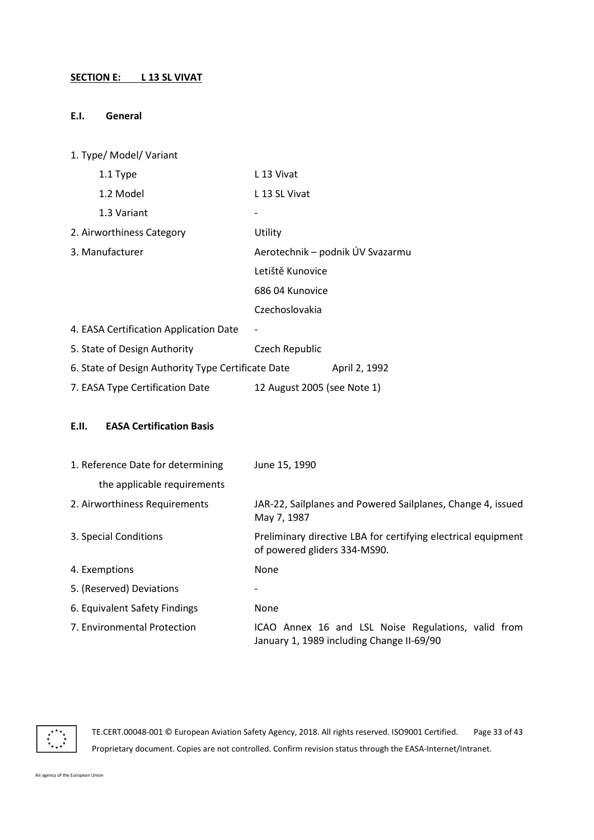## SECTION E: L 13 SL VIVAT

## E.I. General

1. Type/ Model/ Variant

| 1.1 Type                                           | L 13 Vivat                  |                                  |
|----------------------------------------------------|-----------------------------|----------------------------------|
| 1.2 Model                                          | L 13 SL Vivat               |                                  |
| 1.3 Variant                                        |                             |                                  |
| 2. Airworthiness Category                          | Utility                     |                                  |
| 3. Manufacturer                                    |                             | Aerotechnik - podnik ÚV Svazarmu |
|                                                    | Letiště Kunovice            |                                  |
|                                                    | 686 04 Kunovice             |                                  |
|                                                    | Czechoslovakia              |                                  |
| 4. EASA Certification Application Date             |                             |                                  |
| 5. State of Design Authority                       | Czech Republic              |                                  |
| 6. State of Design Authority Type Certificate Date |                             | April 2, 1992                    |
| 7. EASA Type Certification Date                    | 12 August 2005 (see Note 1) |                                  |

## E.II. EASA Certification Basis

| 1. Reference Date for determining | June 15, 1990                                                                                    |
|-----------------------------------|--------------------------------------------------------------------------------------------------|
| the applicable requirements       |                                                                                                  |
| 2. Airworthiness Requirements     | JAR-22, Sailplanes and Powered Sailplanes, Change 4, issued<br>May 7, 1987                       |
| 3. Special Conditions             | Preliminary directive LBA for certifying electrical equipment<br>of powered gliders 334-MS90.    |
| 4. Exemptions                     | None                                                                                             |
| 5. (Reserved) Deviations          |                                                                                                  |
| 6. Equivalent Safety Findings     | None                                                                                             |
| 7. Environmental Protection       | ICAO Annex 16 and LSL Noise Regulations, valid from<br>January 1, 1989 including Change II-69/90 |



TE.CERT.00048-001 © European Aviation Safety Agency, 2018. All rights reserved. ISO9001 Certified. Page 33 of 43 Proprietary document. Copies are not controlled. Confirm revision status through the EASA-Internet/Intranet.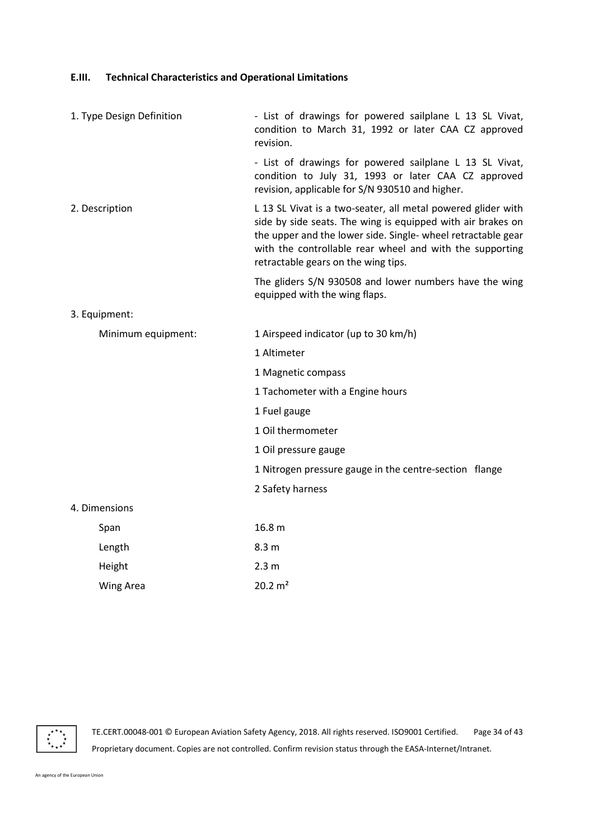## E.III. Technical Characteristics and Operational Limitations

| 1. Type Design Definition | - List of drawings for powered sailplane L 13 SL Vivat,<br>condition to March 31, 1992 or later CAA CZ approved<br>revision.                                                                                                                                                                   |
|---------------------------|------------------------------------------------------------------------------------------------------------------------------------------------------------------------------------------------------------------------------------------------------------------------------------------------|
|                           | - List of drawings for powered sailplane L 13 SL Vivat,<br>condition to July 31, 1993 or later CAA CZ approved<br>revision, applicable for S/N 930510 and higher.                                                                                                                              |
| 2. Description            | L 13 SL Vivat is a two-seater, all metal powered glider with<br>side by side seats. The wing is equipped with air brakes on<br>the upper and the lower side. Single- wheel retractable gear<br>with the controllable rear wheel and with the supporting<br>retractable gears on the wing tips. |
|                           | The gliders S/N 930508 and lower numbers have the wing<br>equipped with the wing flaps.                                                                                                                                                                                                        |
| 3. Equipment:             |                                                                                                                                                                                                                                                                                                |
| Minimum equipment:        | 1 Airspeed indicator (up to 30 km/h)                                                                                                                                                                                                                                                           |
|                           | 1 Altimeter                                                                                                                                                                                                                                                                                    |
|                           | 1 Magnetic compass                                                                                                                                                                                                                                                                             |
|                           | 1 Tachometer with a Engine hours                                                                                                                                                                                                                                                               |
|                           | 1 Fuel gauge                                                                                                                                                                                                                                                                                   |
|                           | 1 Oil thermometer                                                                                                                                                                                                                                                                              |
|                           | 1 Oil pressure gauge                                                                                                                                                                                                                                                                           |
|                           | 1 Nitrogen pressure gauge in the centre-section flange                                                                                                                                                                                                                                         |
|                           | 2 Safety harness                                                                                                                                                                                                                                                                               |
| 4. Dimensions             |                                                                                                                                                                                                                                                                                                |
| Span                      | 16.8 m                                                                                                                                                                                                                                                                                         |
| Length                    | 8.3 m                                                                                                                                                                                                                                                                                          |
| Height                    | 2.3 <sub>m</sub>                                                                                                                                                                                                                                                                               |
| Wing Area                 | $20.2 \text{ m}^2$                                                                                                                                                                                                                                                                             |



TE.CERT.00048-001 © European Aviation Safety Agency, 2018. All rights reserved. ISO9001 Certified. Page 34 of 43 Proprietary document. Copies are not controlled. Confirm revision status through the EASA-Internet/Intranet.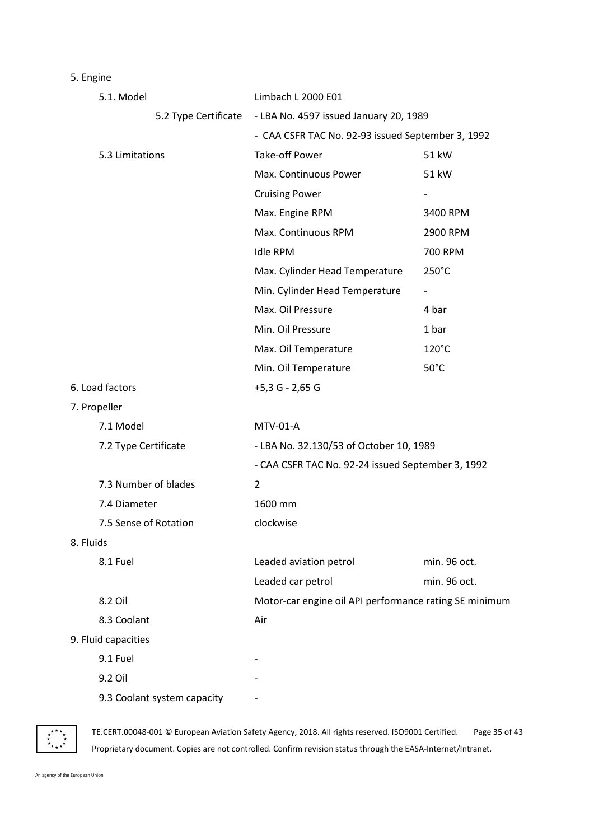| 5.1. Model |                       |                             | Limbach L 2000 E01                                     |                 |  |
|------------|-----------------------|-----------------------------|--------------------------------------------------------|-----------------|--|
|            |                       | 5.2 Type Certificate        | - LBA No. 4597 issued January 20, 1989                 |                 |  |
|            |                       |                             | - CAA CSFR TAC No. 92-93 issued September 3, 1992      |                 |  |
|            | 5.3 Limitations       |                             | <b>Take-off Power</b>                                  | 51 kW           |  |
|            |                       |                             | Max. Continuous Power                                  | 51 kW           |  |
|            |                       |                             | <b>Cruising Power</b>                                  |                 |  |
|            |                       |                             | Max. Engine RPM                                        | 3400 RPM        |  |
|            |                       |                             | Max. Continuous RPM                                    | 2900 RPM        |  |
|            |                       |                             | <b>Idle RPM</b>                                        | 700 RPM         |  |
|            |                       |                             | Max. Cylinder Head Temperature                         | 250°C           |  |
|            |                       |                             | Min. Cylinder Head Temperature                         | -               |  |
|            |                       |                             | Max. Oil Pressure                                      | 4 bar           |  |
|            |                       |                             | Min. Oil Pressure                                      | 1 bar           |  |
|            |                       |                             | Max. Oil Temperature                                   | $120^{\circ}$ C |  |
|            |                       |                             | Min. Oil Temperature                                   | $50^{\circ}$ C  |  |
|            | 6. Load factors       |                             | +5,3 G - 2,65 G                                        |                 |  |
|            | 7. Propeller          |                             |                                                        |                 |  |
|            | 7.1 Model             |                             | MTV-01-A                                               |                 |  |
|            | 7.2 Type Certificate  |                             | - LBA No. 32.130/53 of October 10, 1989                |                 |  |
|            |                       |                             | - CAA CSFR TAC No. 92-24 issued September 3, 1992      |                 |  |
|            | 7.3 Number of blades  |                             | $\overline{2}$                                         |                 |  |
|            | 7.4 Diameter          |                             | 1600 mm                                                |                 |  |
|            | 7.5 Sense of Rotation |                             | clockwise                                              |                 |  |
| 8. Fluids  |                       |                             |                                                        |                 |  |
|            | 8.1 Fuel              |                             | Leaded aviation petrol                                 | min. 96 oct.    |  |
|            |                       |                             | Leaded car petrol                                      | min. 96 oct.    |  |
|            | 8.2 Oil               |                             | Motor-car engine oil API performance rating SE minimum |                 |  |
|            | 8.3 Coolant           |                             | Air                                                    |                 |  |
|            | 9. Fluid capacities   |                             |                                                        |                 |  |
|            | 9.1 Fuel              |                             |                                                        |                 |  |
|            | 9.2 Oil               |                             |                                                        |                 |  |
|            |                       | 9.3 Coolant system capacity |                                                        |                 |  |



TE.CERT.00048-001 © European Aviation Safety Agency, 2018. All rights reserved. ISO9001 Certified. Page 35 of 43 Proprietary document. Copies are not controlled. Confirm revision status through the EASA-Internet/Intranet.

5. Engine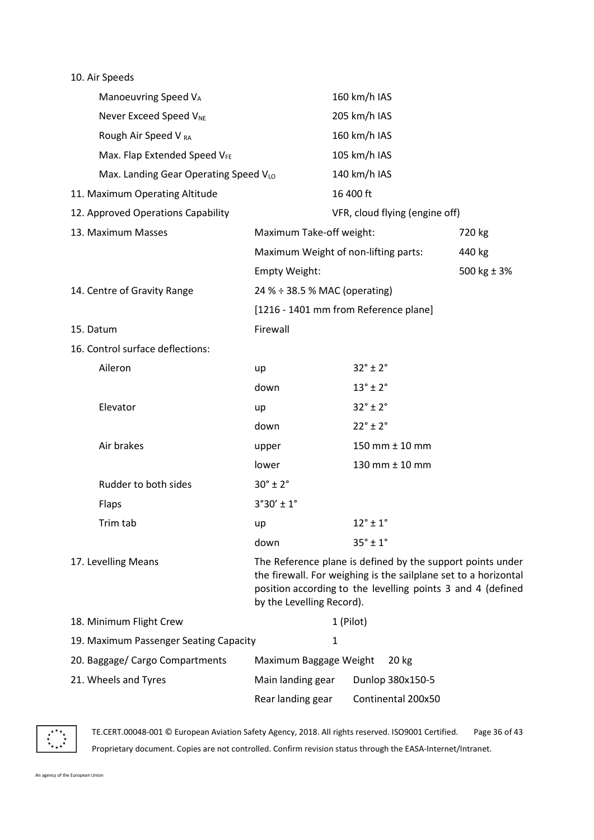| 10. Air Speeds                         |                                                                                                                                                                                                                           |                                       |                 |
|----------------------------------------|---------------------------------------------------------------------------------------------------------------------------------------------------------------------------------------------------------------------------|---------------------------------------|-----------------|
| Manoeuvring Speed VA                   |                                                                                                                                                                                                                           | 160 km/h IAS                          |                 |
| Never Exceed Speed V <sub>NE</sub>     |                                                                                                                                                                                                                           | 205 km/h IAS                          |                 |
| Rough Air Speed V RA                   |                                                                                                                                                                                                                           | 160 km/h IAS                          |                 |
| Max. Flap Extended Speed VFE           |                                                                                                                                                                                                                           | 105 km/h IAS                          |                 |
| Max. Landing Gear Operating Speed VLO  |                                                                                                                                                                                                                           | 140 km/h IAS                          |                 |
| 11. Maximum Operating Altitude         |                                                                                                                                                                                                                           | 16 400 ft                             |                 |
| 12. Approved Operations Capability     |                                                                                                                                                                                                                           | VFR, cloud flying (engine off)        |                 |
| 13. Maximum Masses                     | Maximum Take-off weight:                                                                                                                                                                                                  |                                       | 720 kg          |
|                                        |                                                                                                                                                                                                                           | Maximum Weight of non-lifting parts:  | 440 kg          |
|                                        | Empty Weight:                                                                                                                                                                                                             |                                       | 500 kg $\pm$ 3% |
| 14. Centre of Gravity Range            | 24 % ÷ 38.5 % MAC (operating)                                                                                                                                                                                             |                                       |                 |
|                                        |                                                                                                                                                                                                                           | [1216 - 1401 mm from Reference plane] |                 |
| 15. Datum                              | Firewall                                                                                                                                                                                                                  |                                       |                 |
| 16. Control surface deflections:       |                                                                                                                                                                                                                           |                                       |                 |
| Aileron                                | up                                                                                                                                                                                                                        | $32^\circ \pm 2^\circ$                |                 |
|                                        | down                                                                                                                                                                                                                      | $13^\circ \pm 2^\circ$                |                 |
| Elevator                               | up                                                                                                                                                                                                                        | $32^\circ \pm 2^\circ$                |                 |
|                                        | down                                                                                                                                                                                                                      | $22^\circ \pm 2^\circ$                |                 |
| Air brakes                             | upper                                                                                                                                                                                                                     | $150$ mm $\pm$ 10 mm                  |                 |
|                                        | lower                                                                                                                                                                                                                     | 130 mm ± 10 mm                        |                 |
| Rudder to both sides                   | $30^\circ \pm 2^\circ$                                                                                                                                                                                                    |                                       |                 |
| Flaps                                  | $3°30' \pm 1°$                                                                                                                                                                                                            |                                       |                 |
| Trim tab                               | up                                                                                                                                                                                                                        | $12^\circ \pm 1^\circ$                |                 |
|                                        | down                                                                                                                                                                                                                      | $35^\circ \pm 1^\circ$                |                 |
| 17. Levelling Means                    | The Reference plane is defined by the support points under<br>the firewall. For weighing is the sailplane set to a horizontal<br>position according to the levelling points 3 and 4 (defined<br>by the Levelling Record). |                                       |                 |
| 18. Minimum Flight Crew                |                                                                                                                                                                                                                           | 1 (Pilot)                             |                 |
| 19. Maximum Passenger Seating Capacity |                                                                                                                                                                                                                           | 1                                     |                 |
| 20. Baggage/ Cargo Compartments        | Maximum Baggage Weight                                                                                                                                                                                                    | $20$ kg                               |                 |
| 21. Wheels and Tyres                   | Main landing gear                                                                                                                                                                                                         | Dunlop 380x150-5                      |                 |
|                                        | Rear landing gear                                                                                                                                                                                                         | Continental 200x50                    |                 |



TE.CERT.00048-001 © European Aviation Safety Agency, 2018. All rights reserved. ISO9001 Certified. Page 36 of 43 Proprietary document. Copies are not controlled. Confirm revision status through the EASA-Internet/Intranet.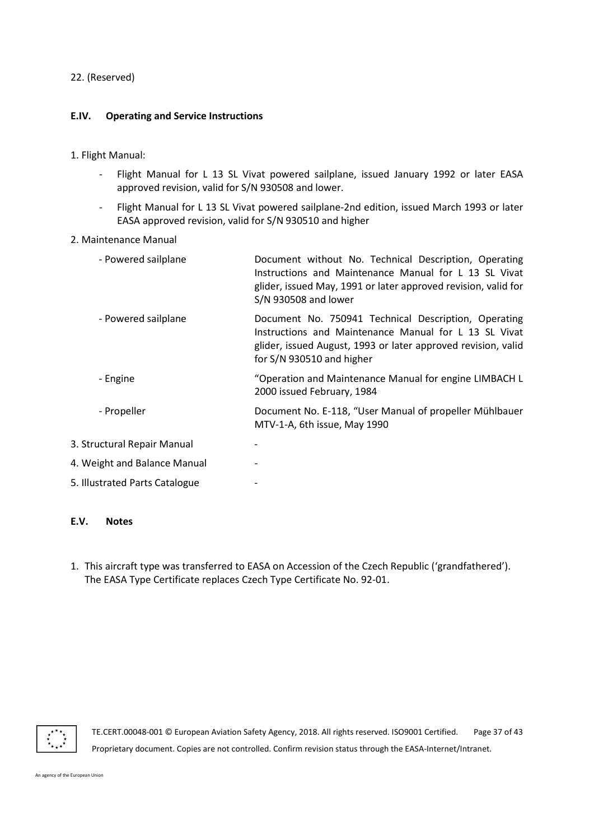#### 22. (Reserved)

#### E.IV. Operating and Service Instructions

- 1. Flight Manual:
	- Flight Manual for L 13 SL Vivat powered sailplane, issued January 1992 or later EASA approved revision, valid for S/N 930508 and lower.
	- Flight Manual for L 13 SL Vivat powered sailplane-2nd edition, issued March 1993 or later EASA approved revision, valid for S/N 930510 and higher

#### 2. Maintenance Manual

| - Powered sailplane            | Document without No. Technical Description, Operating<br>Instructions and Maintenance Manual for L 13 SL Vivat<br>glider, issued May, 1991 or later approved revision, valid for<br>S/N 930508 and lower    |
|--------------------------------|-------------------------------------------------------------------------------------------------------------------------------------------------------------------------------------------------------------|
| - Powered sailplane            | Document No. 750941 Technical Description, Operating<br>Instructions and Maintenance Manual for L 13 SL Vivat<br>glider, issued August, 1993 or later approved revision, valid<br>for S/N 930510 and higher |
| - Engine                       | "Operation and Maintenance Manual for engine LIMBACH L<br>2000 issued February, 1984                                                                                                                        |
| - Propeller                    | Document No. E-118, "User Manual of propeller Mühlbauer<br>MTV-1-A, 6th issue, May 1990                                                                                                                     |
| 3. Structural Repair Manual    |                                                                                                                                                                                                             |
| 4. Weight and Balance Manual   |                                                                                                                                                                                                             |
| 5. Illustrated Parts Catalogue |                                                                                                                                                                                                             |
|                                |                                                                                                                                                                                                             |

#### E.V. Notes

1. This aircraft type was transferred to EASA on Accession of the Czech Republic ('grandfathered'). The EASA Type Certificate replaces Czech Type Certificate No. 92-01.



TE.CERT.00048-001 © European Aviation Safety Agency, 2018. All rights reserved. ISO9001 Certified. Page 37 of 43 Proprietary document. Copies are not controlled. Confirm revision status through the EASA-Internet/Intranet.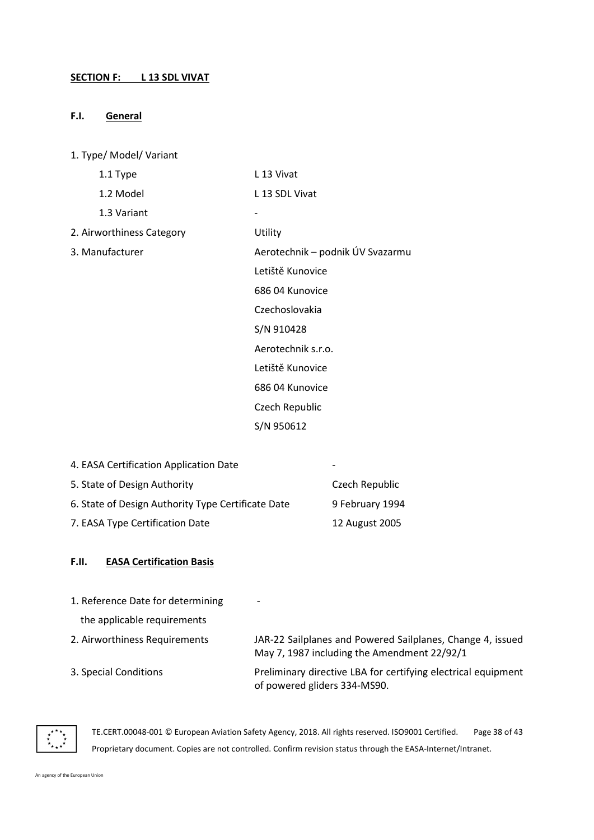## SECTION F: L 13 SDL VIVAT

## F.I. General

1. Type/ Model/ Variant

| 1.1 Type                  | L 13 Vivat                       |
|---------------------------|----------------------------------|
| 1.2 Model                 | L 13 SDL Vivat                   |
| 1.3 Variant               |                                  |
| 2. Airworthiness Category | Utility                          |
| 3. Manufacturer           | Aerotechnik - podnik ÚV Svazarmu |
|                           | Letiště Kunovice                 |
|                           | 686 04 Kunovice                  |
|                           | Czechoslovakia                   |
|                           | S/N 910428                       |
|                           | Aerotechnik s.r.o.               |
|                           | Letiště Kunovice                 |
|                           | 686 04 Kunovice                  |
|                           | Czech Republic                   |
|                           | S/N 950612                       |
|                           |                                  |

| 4. EASA Certification Application Date             | -               |
|----------------------------------------------------|-----------------|
| 5. State of Design Authority                       | Czech Republic  |
| 6. State of Design Authority Type Certificate Date | 9 February 1994 |
| 7. EASA Type Certification Date                    | 12 August 2005  |

# F.II. EASA Certification Basis

| 1. Reference Date for determining | $\overline{\phantom{0}}$                                                                                  |
|-----------------------------------|-----------------------------------------------------------------------------------------------------------|
| the applicable requirements       |                                                                                                           |
| 2. Airworthiness Requirements     | JAR-22 Sailplanes and Powered Sailplanes, Change 4, issued<br>May 7, 1987 including the Amendment 22/92/1 |
| 3. Special Conditions             | Preliminary directive LBA for certifying electrical equipment<br>of powered gliders 334-MS90.             |



TE.CERT.00048-001 © European Aviation Safety Agency, 2018. All rights reserved. ISO9001 Certified. Page 38 of 43 Proprietary document. Copies are not controlled. Confirm revision status through the EASA-Internet/Intranet.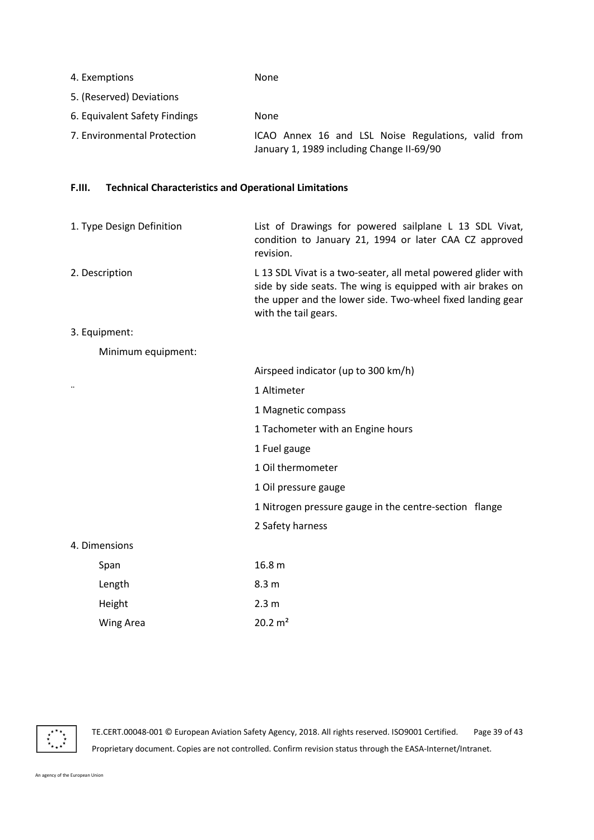4. Exemptions None 5. (Reserved) Deviations 6. Equivalent Safety Findings None 7. Environmental Protection **ICAO Annex 16 and LSL Noise Regulations**, valid from January 1, 1989 including Change II-69/90

#### F.III. Technical Characteristics and Operational Limitations

- 1. Type Design Definition List of Drawings for powered sailplane L 13 SDL Vivat, condition to January 21, 1994 or later CAA CZ approved revision. 2. Description L 13 SDL Vivat is a two-seater, all metal powered glider with side by side seats. The wing is equipped with air brakes on the upper and the lower side. Two-wheel fixed landing gear with the tail gears.
- 3. Equipment:

Minimum equipment:

|           |               | Airspeed indicator (up to 300 km/h)                    |
|-----------|---------------|--------------------------------------------------------|
| $\ddotsc$ |               | 1 Altimeter                                            |
|           |               | 1 Magnetic compass                                     |
|           |               | 1 Tachometer with an Engine hours                      |
|           |               | 1 Fuel gauge                                           |
|           |               | 1 Oil thermometer                                      |
|           |               | 1 Oil pressure gauge                                   |
|           |               | 1 Nitrogen pressure gauge in the centre-section flange |
|           |               | 2 Safety harness                                       |
|           | 4. Dimensions |                                                        |
|           | Span          | 16.8 m                                                 |
|           | Length        | 8.3 <sub>m</sub>                                       |
|           | Height        | 2.3 <sub>m</sub>                                       |
|           | Wing Area     | $20.2 \text{ m}^2$                                     |
|           |               |                                                        |



TE.CERT.00048-001 © European Aviation Safety Agency, 2018. All rights reserved. ISO9001 Certified. Page 39 of 43 Proprietary document. Copies are not controlled. Confirm revision status through the EASA-Internet/Intranet.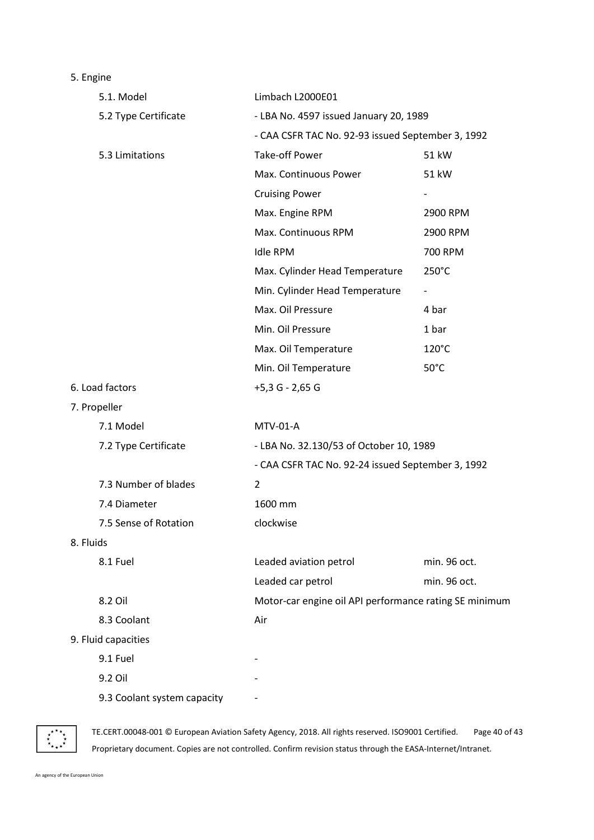| cngine |  |
|--------|--|
|--------|--|

| 5.1. Model                  | Limbach L2000E01                                       |                                                   |  |  |
|-----------------------------|--------------------------------------------------------|---------------------------------------------------|--|--|
| 5.2 Type Certificate        |                                                        | - LBA No. 4597 issued January 20, 1989            |  |  |
|                             |                                                        | - CAA CSFR TAC No. 92-93 issued September 3, 1992 |  |  |
| 5.3 Limitations             | <b>Take-off Power</b>                                  | 51 kW                                             |  |  |
|                             | Max. Continuous Power                                  | 51 kW                                             |  |  |
|                             | <b>Cruising Power</b>                                  |                                                   |  |  |
|                             | Max. Engine RPM                                        | 2900 RPM                                          |  |  |
|                             | Max. Continuous RPM                                    | 2900 RPM                                          |  |  |
|                             | <b>Idle RPM</b>                                        | 700 RPM                                           |  |  |
|                             | Max. Cylinder Head Temperature                         | $250^{\circ}$ C                                   |  |  |
|                             | Min. Cylinder Head Temperature                         |                                                   |  |  |
|                             | Max. Oil Pressure                                      | 4 bar                                             |  |  |
|                             | Min. Oil Pressure                                      | 1 bar                                             |  |  |
|                             | Max. Oil Temperature                                   | 120°C                                             |  |  |
|                             | Min. Oil Temperature                                   | $50^{\circ}$ C                                    |  |  |
| 6. Load factors             | $+5,3$ G - 2,65 G                                      |                                                   |  |  |
| 7. Propeller                |                                                        |                                                   |  |  |
| 7.1 Model                   | <b>MTV-01-A</b>                                        |                                                   |  |  |
| 7.2 Type Certificate        | - LBA No. 32.130/53 of October 10, 1989                |                                                   |  |  |
|                             |                                                        | - CAA CSFR TAC No. 92-24 issued September 3, 1992 |  |  |
| 7.3 Number of blades        | $\overline{2}$                                         |                                                   |  |  |
| 7.4 Diameter                | 1600 mm                                                |                                                   |  |  |
| 7.5 Sense of Rotation       | clockwise                                              |                                                   |  |  |
| 8. Fluids                   |                                                        |                                                   |  |  |
| 8.1 Fuel                    | Leaded aviation petrol                                 | min. 96 oct.                                      |  |  |
|                             | Leaded car petrol                                      | min. 96 oct.                                      |  |  |
| 8.2 Oil                     | Motor-car engine oil API performance rating SE minimum |                                                   |  |  |
| 8.3 Coolant                 | Air                                                    |                                                   |  |  |
| 9. Fluid capacities         |                                                        |                                                   |  |  |
| 9.1 Fuel                    |                                                        |                                                   |  |  |
| 9.2 Oil                     |                                                        |                                                   |  |  |
| 9.3 Coolant system capacity |                                                        |                                                   |  |  |



TE.CERT.00048-001 © European Aviation Safety Agency, 2018. All rights reserved. ISO9001 Certified. Page 40 of 43 Proprietary document. Copies are not controlled. Confirm revision status through the EASA-Internet/Intranet.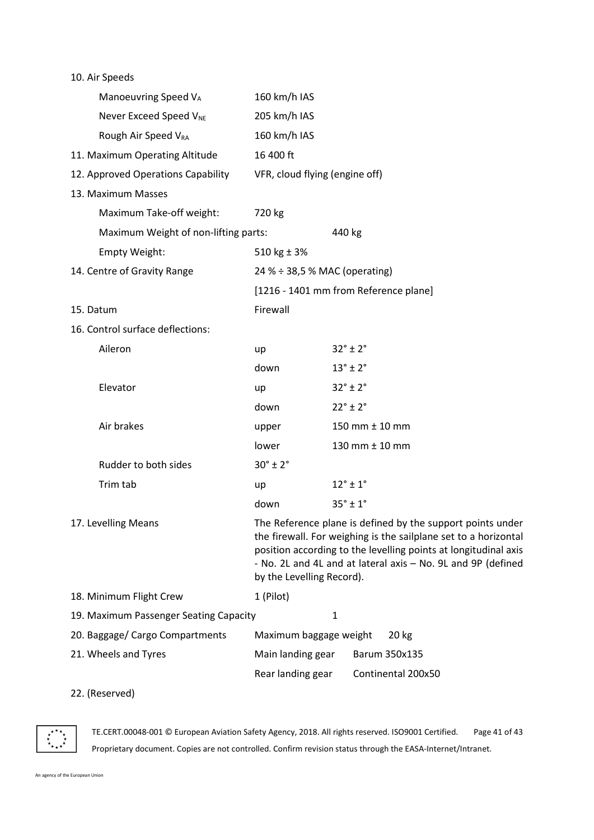| 10. Air Speeds                         |                                |                                                                                                                                                                                                                                                                  |
|----------------------------------------|--------------------------------|------------------------------------------------------------------------------------------------------------------------------------------------------------------------------------------------------------------------------------------------------------------|
| Manoeuvring Speed VA                   | 160 km/h IAS                   |                                                                                                                                                                                                                                                                  |
| Never Exceed Speed V <sub>NE</sub>     | 205 km/h IAS                   |                                                                                                                                                                                                                                                                  |
| Rough Air Speed V <sub>RA</sub>        | 160 km/h IAS                   |                                                                                                                                                                                                                                                                  |
| 11. Maximum Operating Altitude         | 16 400 ft                      |                                                                                                                                                                                                                                                                  |
| 12. Approved Operations Capability     | VFR, cloud flying (engine off) |                                                                                                                                                                                                                                                                  |
| 13. Maximum Masses                     |                                |                                                                                                                                                                                                                                                                  |
| Maximum Take-off weight:               | 720 kg                         |                                                                                                                                                                                                                                                                  |
| Maximum Weight of non-lifting parts:   |                                | 440 kg                                                                                                                                                                                                                                                           |
| Empty Weight:                          | 510 kg $\pm$ 3%                |                                                                                                                                                                                                                                                                  |
| 14. Centre of Gravity Range            | 24 % ÷ 38,5 % MAC (operating)  |                                                                                                                                                                                                                                                                  |
|                                        |                                | [1216 - 1401 mm from Reference plane]                                                                                                                                                                                                                            |
| 15. Datum                              | Firewall                       |                                                                                                                                                                                                                                                                  |
| 16. Control surface deflections:       |                                |                                                                                                                                                                                                                                                                  |
| Aileron                                | up                             | $32^\circ \pm 2^\circ$                                                                                                                                                                                                                                           |
|                                        | down                           | $13^\circ \pm 2^\circ$                                                                                                                                                                                                                                           |
| Elevator                               | up                             | $32^\circ \pm 2^\circ$                                                                                                                                                                                                                                           |
|                                        | down                           | $22^\circ \pm 2^\circ$                                                                                                                                                                                                                                           |
| Air brakes                             | upper                          | $150$ mm $\pm$ 10 mm                                                                                                                                                                                                                                             |
|                                        | lower                          | 130 mm ± 10 mm                                                                                                                                                                                                                                                   |
| Rudder to both sides                   | $30^\circ \pm 2^\circ$         |                                                                                                                                                                                                                                                                  |
| Trim tab                               | up                             | $12^\circ \pm 1^\circ$                                                                                                                                                                                                                                           |
|                                        | down                           | $35^\circ \pm 1^\circ$                                                                                                                                                                                                                                           |
| 17. Levelling Means                    | by the Levelling Record).      | The Reference plane is defined by the support points under<br>the firewall. For weighing is the sailplane set to a horizontal<br>position according to the levelling points at longitudinal axis<br>- No. 2L and 4L and at lateral axis - No. 9L and 9P (defined |
| 18. Minimum Flight Crew                | 1 (Pilot)                      |                                                                                                                                                                                                                                                                  |
| 19. Maximum Passenger Seating Capacity |                                | 1                                                                                                                                                                                                                                                                |
| 20. Baggage/ Cargo Compartments        | Maximum baggage weight         | $20$ kg                                                                                                                                                                                                                                                          |
| 21. Wheels and Tyres                   | Main landing gear              | Barum 350x135                                                                                                                                                                                                                                                    |
|                                        | Rear landing gear              | Continental 200x50                                                                                                                                                                                                                                               |
|                                        |                                |                                                                                                                                                                                                                                                                  |

# 22. (Reserved)



TE.CERT.00048-001 © European Aviation Safety Agency, 2018. All rights reserved. ISO9001 Certified. Page 41 of 43 Proprietary document. Copies are not controlled. Confirm revision status through the EASA-Internet/Intranet.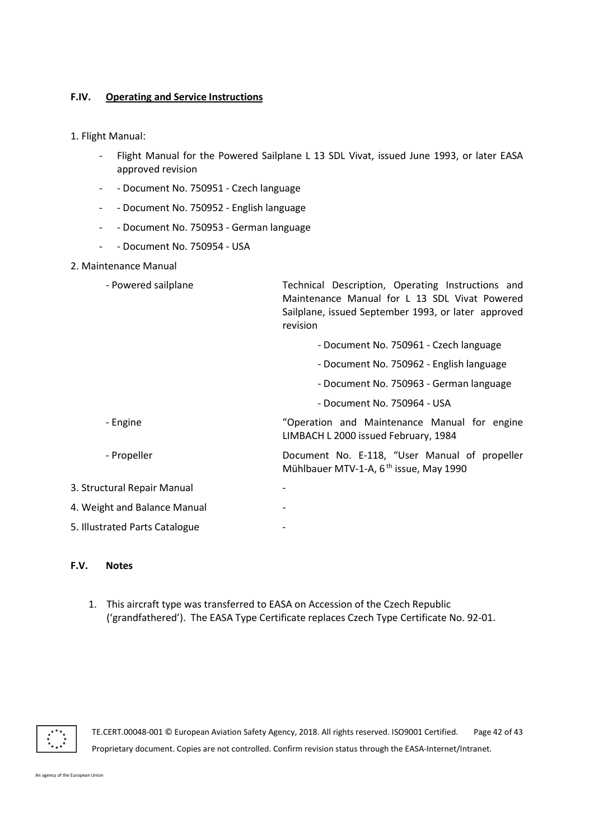- 1. Flight Manual:
	- Flight Manual for the Powered Sailplane L 13 SDL Vivat, issued June 1993, or later EASA approved revision
	- - Document No. 750951 Czech language
	- - Document No. 750952 English language
	- - Document No. 750953 German language
	- - Document No. 750954 USA

#### 2. Maintenance Manual

| - Powered sailplane            | Technical Description, Operating Instructions and<br>Maintenance Manual for L 13 SDL Vivat Powered<br>Sailplane, issued September 1993, or later approved<br>revision |
|--------------------------------|-----------------------------------------------------------------------------------------------------------------------------------------------------------------------|
|                                | - Document No. 750961 - Czech language                                                                                                                                |
|                                | - Document No. 750962 - English language                                                                                                                              |
|                                | - Document No. 750963 - German language                                                                                                                               |
|                                | - Document No. 750964 - USA                                                                                                                                           |
| - Engine                       | "Operation and Maintenance Manual for engine<br>LIMBACH L 2000 issued February, 1984                                                                                  |
| - Propeller                    | Document No. E-118, "User Manual of propeller<br>Mühlbauer MTV-1-A, 6 <sup>th</sup> issue, May 1990                                                                   |
| 3. Structural Repair Manual    |                                                                                                                                                                       |
| 4. Weight and Balance Manual   |                                                                                                                                                                       |
| 5. Illustrated Parts Catalogue |                                                                                                                                                                       |
|                                |                                                                                                                                                                       |

## F.V. Notes

1. This aircraft type was transferred to EASA on Accession of the Czech Republic ('grandfathered'). The EASA Type Certificate replaces Czech Type Certificate No. 92-01.



TE.CERT.00048-001 © European Aviation Safety Agency, 2018. All rights reserved. ISO9001 Certified. Page 42 of 43 Proprietary document. Copies are not controlled. Confirm revision status through the EASA-Internet/Intranet.